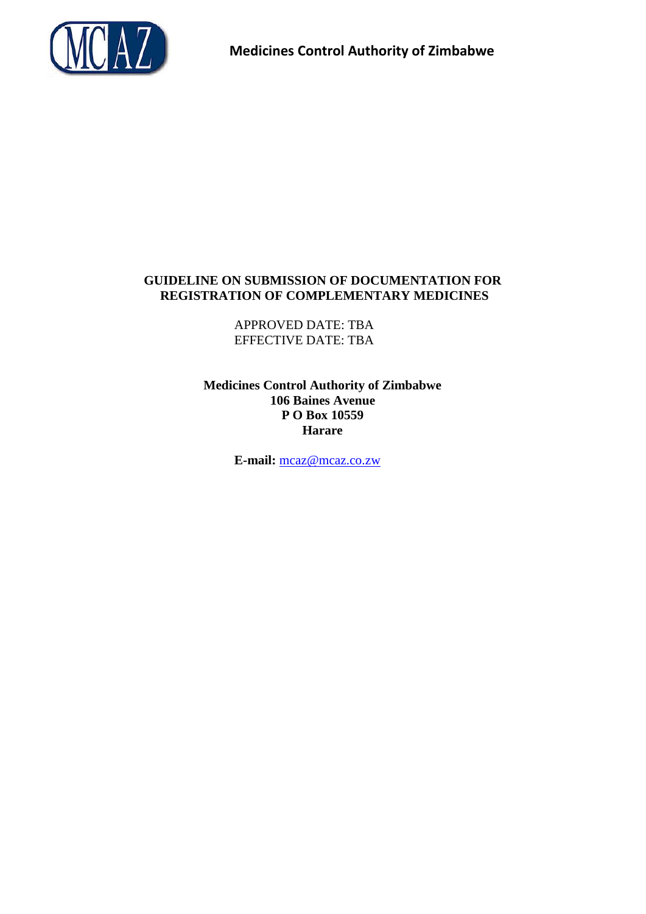

# **GUIDELINE ON SUBMISSION OF DOCUMENTATION FOR REGISTRATION OF COMPLEMENTARY MEDICINES**

APPROVED DATE: TBA EFFECTIVE DATE: TBA

**Medicines Control Authority of Zimbabwe 106 Baines Avenue P O Box 10559 Harare**

**E-mail:** mcaz@mcaz.co.zw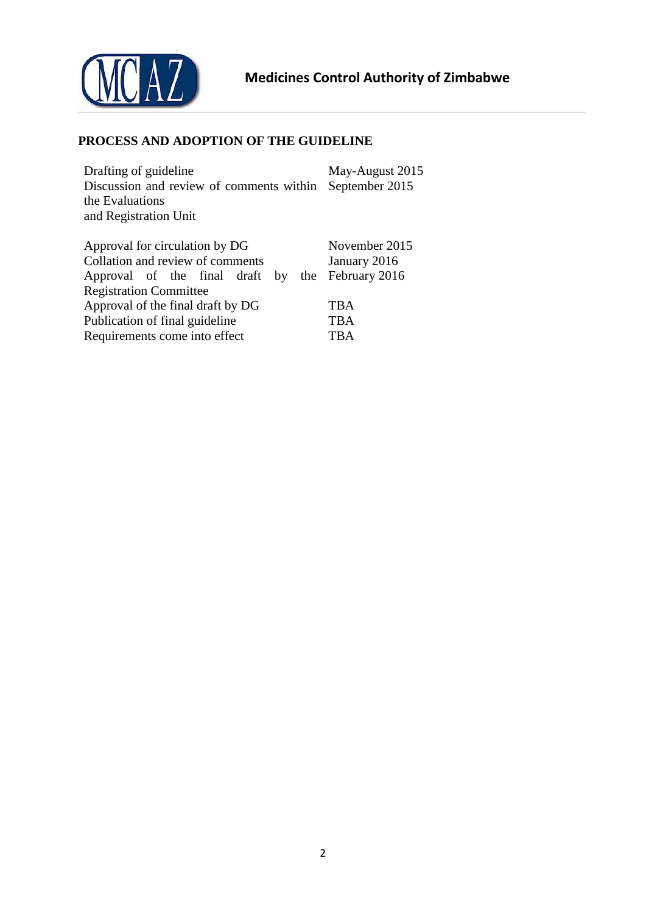

# <span id="page-1-0"></span>**PROCESS AND ADOPTION OF THE GUIDELINE**

| Drafting of guideline                    | May-August 2015 |
|------------------------------------------|-----------------|
| Discussion and review of comments within | September 2015  |
| the Evaluations                          |                 |
| and Registration Unit                    |                 |
|                                          |                 |
| Approval for circulation by DG           | November 2015   |
| Collation and review of comments         | January 2016    |
| Approval of the final draft<br>the<br>by | February 2016   |
| <b>Registration Committee</b>            |                 |
| Approval of the final draft by DG        | <b>TBA</b>      |
| Publication of final guideline           | <b>TBA</b>      |
| Requirements come into effect            | TBA             |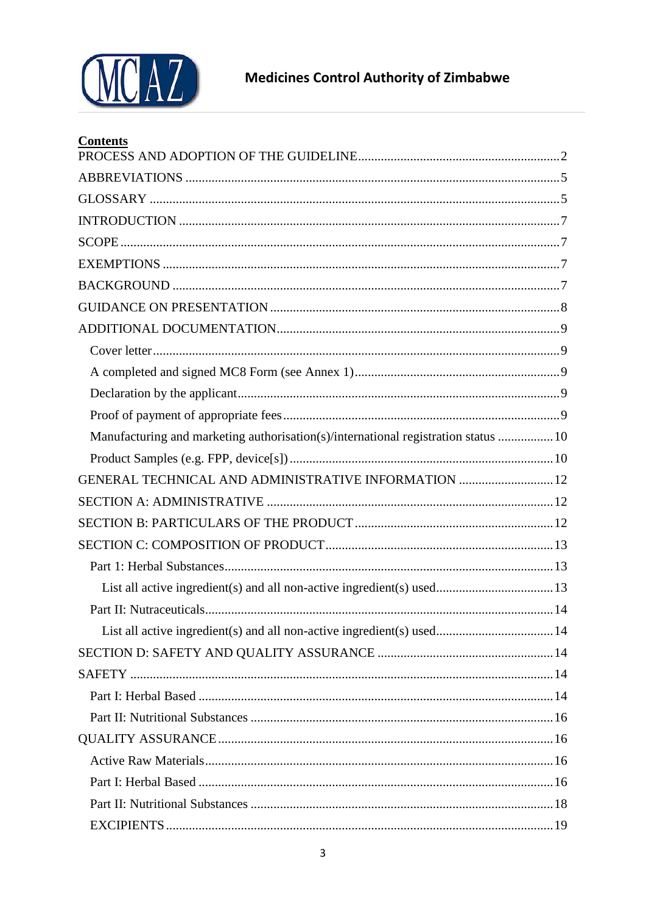

| <b>Contents</b>                                                                    |  |
|------------------------------------------------------------------------------------|--|
|                                                                                    |  |
|                                                                                    |  |
|                                                                                    |  |
|                                                                                    |  |
|                                                                                    |  |
|                                                                                    |  |
|                                                                                    |  |
|                                                                                    |  |
|                                                                                    |  |
|                                                                                    |  |
|                                                                                    |  |
|                                                                                    |  |
| Manufacturing and marketing authorisation(s)/international registration status  10 |  |
|                                                                                    |  |
| GENERAL TECHNICAL AND ADMINISTRATIVE INFORMATION  12                               |  |
|                                                                                    |  |
|                                                                                    |  |
|                                                                                    |  |
|                                                                                    |  |
|                                                                                    |  |
|                                                                                    |  |
|                                                                                    |  |
|                                                                                    |  |
|                                                                                    |  |
|                                                                                    |  |
|                                                                                    |  |
|                                                                                    |  |
|                                                                                    |  |
|                                                                                    |  |
|                                                                                    |  |
|                                                                                    |  |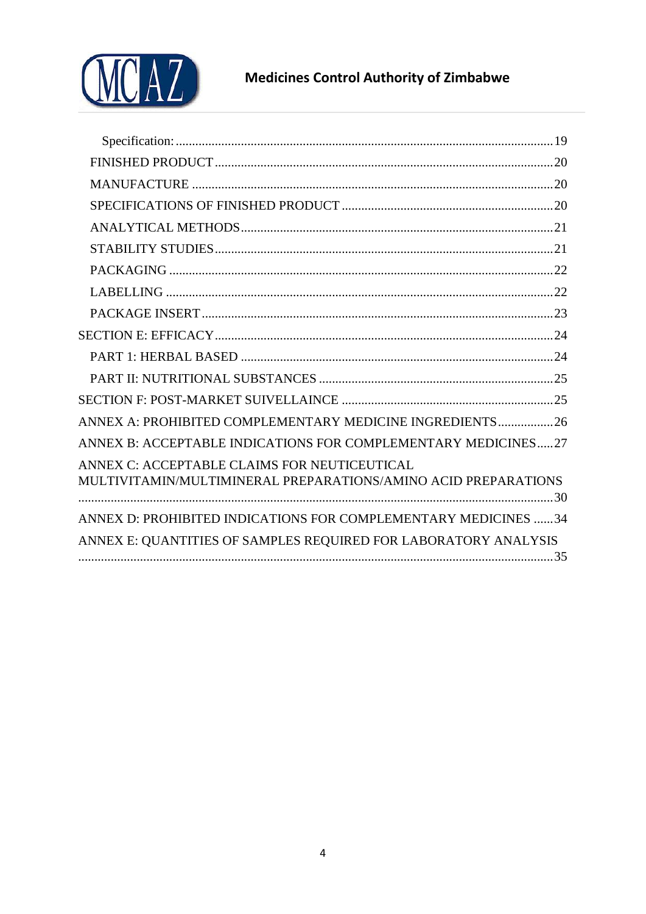

# **Medicines Control Authority of Zimbabwe**

| ANNEX A: PROHIBITED COMPLEMENTARY MEDICINE INGREDIENTS26        |
|-----------------------------------------------------------------|
| ANNEX B: ACCEPTABLE INDICATIONS FOR COMPLEMENTARY MEDICINES27   |
| ANNEX C: ACCEPTABLE CLAIMS FOR NEUTICEUTICAL                    |
| MULTIVITAMIN/MULTIMINERAL PREPARATIONS/AMINO ACID PREPARATIONS  |
| ANNEX D: PROHIBITED INDICATIONS FOR COMPLEMENTARY MEDICINES 34  |
|                                                                 |
| ANNEX E: QUANTITIES OF SAMPLES REQUIRED FOR LABORATORY ANALYSIS |
|                                                                 |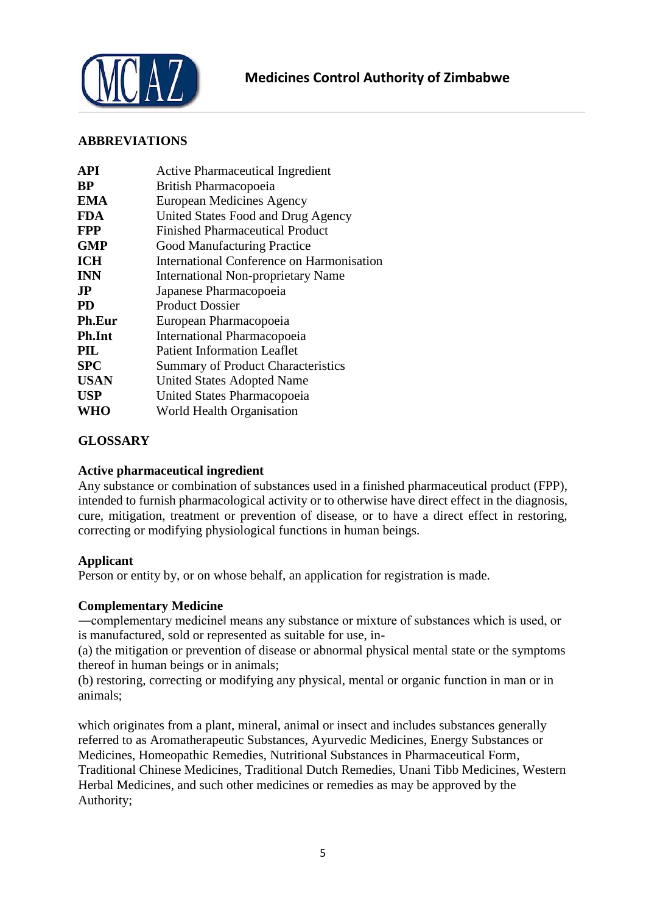

# <span id="page-4-0"></span>**ABBREVIATIONS**

| API           | <b>Active Pharmaceutical Ingredient</b>   |
|---------------|-------------------------------------------|
| <b>BP</b>     | British Pharmacopoeia                     |
| <b>EMA</b>    | European Medicines Agency                 |
| <b>FDA</b>    | United States Food and Drug Agency        |
| <b>FPP</b>    | <b>Finished Pharmaceutical Product</b>    |
| <b>GMP</b>    | <b>Good Manufacturing Practice</b>        |
| <b>ICH</b>    | International Conference on Harmonisation |
| <b>INN</b>    | <b>International Non-proprietary Name</b> |
| <b>JP</b>     | Japanese Pharmacopoeia                    |
| <b>PD</b>     | <b>Product Dossier</b>                    |
| <b>Ph.Eur</b> | European Pharmacopoeia                    |
| <b>Ph.Int</b> | International Pharmacopoeia               |
| PIL           | <b>Patient Information Leaflet</b>        |
| <b>SPC</b>    | <b>Summary of Product Characteristics</b> |
| <b>USAN</b>   | <b>United States Adopted Name</b>         |
| <b>USP</b>    | United States Pharmacopoeia               |
| <b>WHO</b>    | World Health Organisation                 |
|               |                                           |

# <span id="page-4-1"></span>**GLOSSARY**

# **Active pharmaceutical ingredient**

Any substance or combination of substances used in a finished pharmaceutical product (FPP), intended to furnish pharmacological activity or to otherwise have direct effect in the diagnosis, cure, mitigation, treatment or prevention of disease, or to have a direct effect in restoring, correcting or modifying physiological functions in human beings.

#### **Applicant**

Person or entity by, or on whose behalf, an application for registration is made.

#### **Complementary Medicine**

―complementary medicine‖ means any substance or mixture of substances which is used, or is manufactured, sold or represented as suitable for use, in-

(a) the mitigation or prevention of disease or abnormal physical mental state or the symptoms thereof in human beings or in animals;

(b) restoring, correcting or modifying any physical, mental or organic function in man or in animals;

which originates from a plant, mineral, animal or insect and includes substances generally referred to as Aromatherapeutic Substances, Ayurvedic Medicines, Energy Substances or Medicines, Homeopathic Remedies, Nutritional Substances in Pharmaceutical Form, Traditional Chinese Medicines, Traditional Dutch Remedies, Unani Tibb Medicines, Western Herbal Medicines, and such other medicines or remedies as may be approved by the Authority;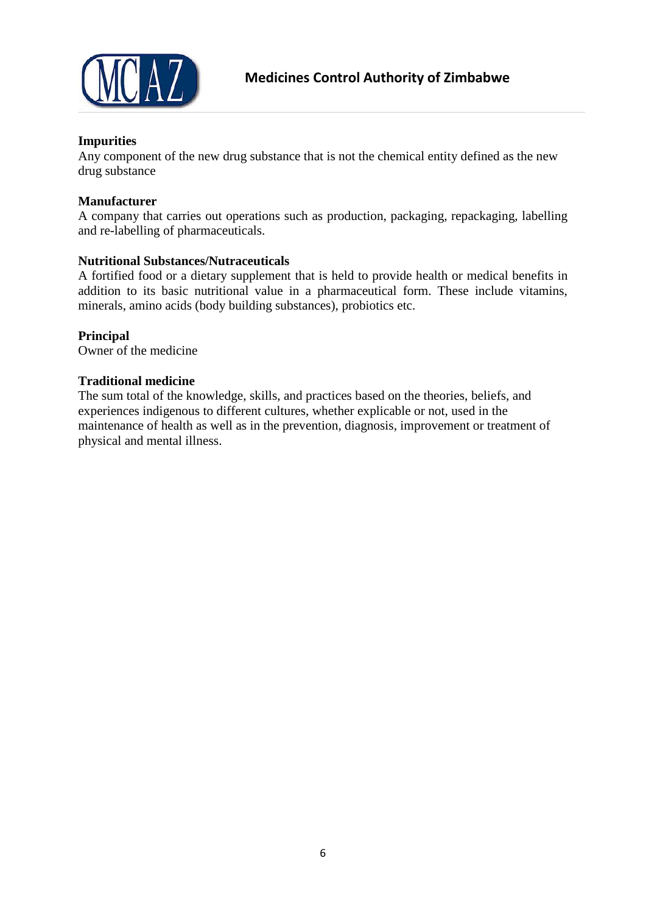

### **Impurities**

Any component of the new drug substance that is not the chemical entity defined as the new drug substance

#### **Manufacturer**

A company that carries out operations such as production, packaging, repackaging, labelling and re-labelling of pharmaceuticals.

#### **Nutritional Substances/Nutraceuticals**

A fortified food or a dietary supplement that is held to provide health or medical benefits in addition to its basic nutritional value in a pharmaceutical form. These include vitamins, minerals, amino acids (body building substances), probiotics etc.

# **Principal**

Owner of the medicine

#### **Traditional medicine**

The sum total of the knowledge, skills, and practices based on the theories, beliefs, and experiences indigenous to different cultures, whether explicable or not, used in the maintenance of health as well as in the prevention, diagnosis, improvement or treatment of physical and mental illness.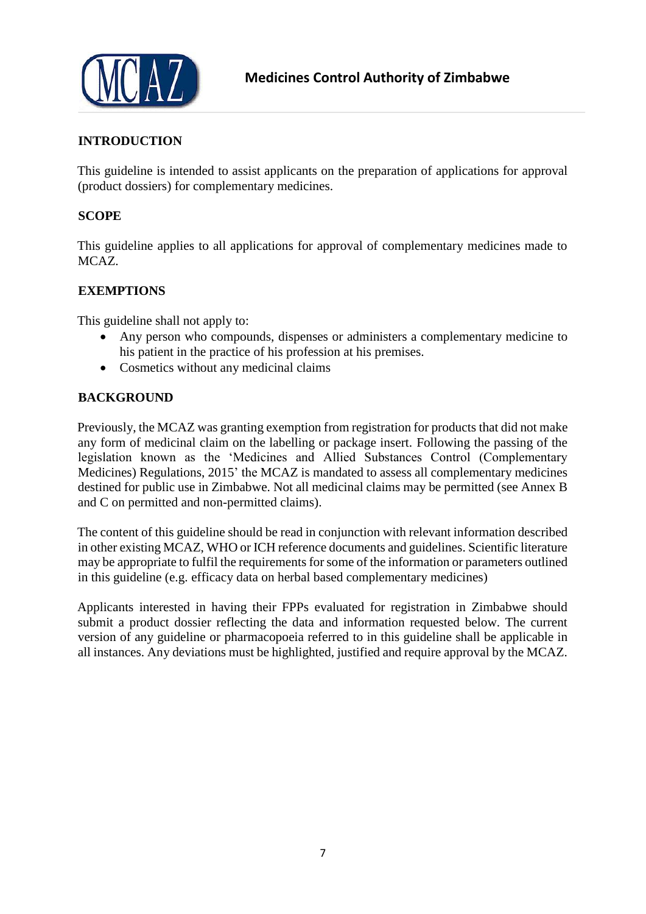

# <span id="page-6-0"></span>**INTRODUCTION**

This guideline is intended to assist applicants on the preparation of applications for approval (product dossiers) for complementary medicines.

### <span id="page-6-1"></span>**SCOPE**

This guideline applies to all applications for approval of complementary medicines made to MCAZ.

# <span id="page-6-2"></span>**EXEMPTIONS**

This guideline shall not apply to:

- Any person who compounds, dispenses or administers a complementary medicine to his patient in the practice of his profession at his premises.
- Cosmetics without any medicinal claims

#### <span id="page-6-3"></span>**BACKGROUND**

Previously, the MCAZ was granting exemption from registration for products that did not make any form of medicinal claim on the labelling or package insert. Following the passing of the legislation known as the 'Medicines and Allied Substances Control (Complementary Medicines) Regulations, 2015' the MCAZ is mandated to assess all complementary medicines destined for public use in Zimbabwe. Not all medicinal claims may be permitted (see Annex B and C on permitted and non-permitted claims).

The content of this guideline should be read in conjunction with relevant information described in other existing MCAZ, WHO or ICH reference documents and guidelines. Scientific literature may be appropriate to fulfil the requirements for some of the information or parameters outlined in this guideline (e.g. efficacy data on herbal based complementary medicines)

Applicants interested in having their FPPs evaluated for registration in Zimbabwe should submit a product dossier reflecting the data and information requested below. The current version of any guideline or pharmacopoeia referred to in this guideline shall be applicable in all instances. Any deviations must be highlighted, justified and require approval by the MCAZ.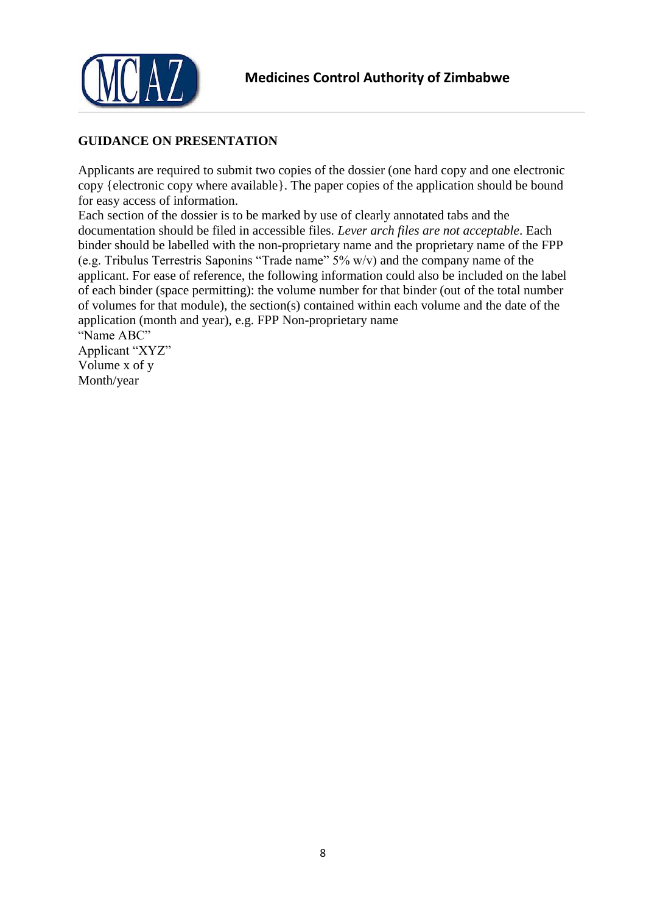

# <span id="page-7-0"></span>**GUIDANCE ON PRESENTATION**

Applicants are required to submit two copies of the dossier (one hard copy and one electronic copy {electronic copy where available}. The paper copies of the application should be bound for easy access of information.

Each section of the dossier is to be marked by use of clearly annotated tabs and the documentation should be filed in accessible files. *Lever arch files are not acceptable*. Each binder should be labelled with the non-proprietary name and the proprietary name of the FPP (e.g. Tribulus Terrestris Saponins "Trade name" 5% w/v) and the company name of the applicant. For ease of reference, the following information could also be included on the label of each binder (space permitting): the volume number for that binder (out of the total number of volumes for that module), the section(s) contained within each volume and the date of the application (month and year), e.g. FPP Non-proprietary name "Name ABC"

Applicant "XYZ" Volume x of y Month/year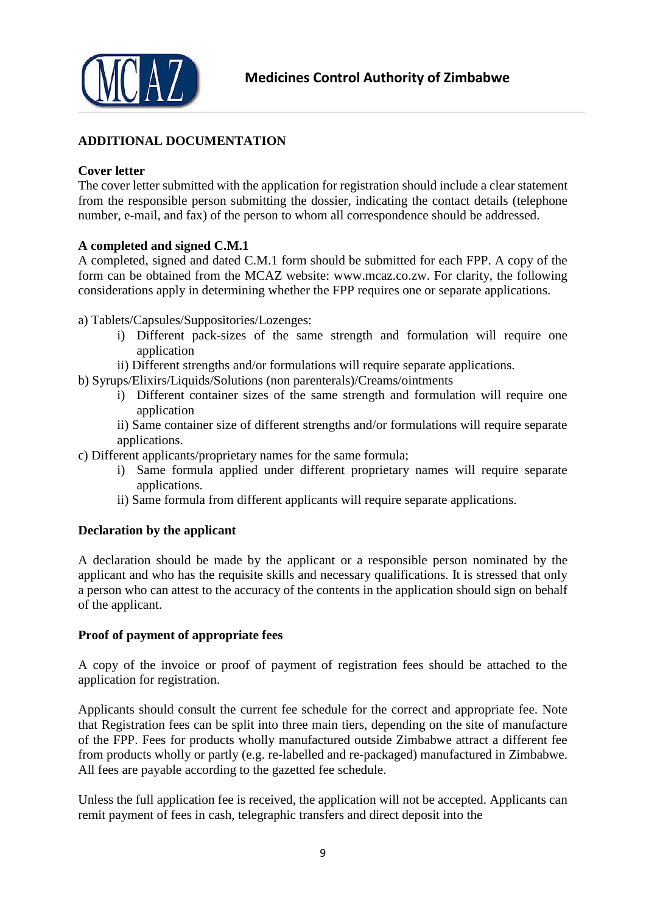

# <span id="page-8-0"></span>**ADDITIONAL DOCUMENTATION**

#### <span id="page-8-1"></span>**Cover letter**

The cover letter submitted with the application for registration should include a clear statement from the responsible person submitting the dossier, indicating the contact details (telephone number, e-mail, and fax) of the person to whom all correspondence should be addressed.

# <span id="page-8-2"></span>**A completed and signed C.M.1**

A completed, signed and dated C.M.1 form should be submitted for each FPP. A copy of the form can be obtained from the MCAZ website: www.mcaz.co.zw. For clarity, the following considerations apply in determining whether the FPP requires one or separate applications.

a) Tablets/Capsules/Suppositories/Lozenges:

- i) Different pack-sizes of the same strength and formulation will require one application
- ii) Different strengths and/or formulations will require separate applications.
- b) Syrups/Elixirs/Liquids/Solutions (non parenterals)/Creams/ointments
	- i) Different container sizes of the same strength and formulation will require one application
	- ii) Same container size of different strengths and/or formulations will require separate applications.
- c) Different applicants/proprietary names for the same formula;
	- i) Same formula applied under different proprietary names will require separate applications.
	- ii) Same formula from different applicants will require separate applications.

#### <span id="page-8-3"></span>**Declaration by the applicant**

A declaration should be made by the applicant or a responsible person nominated by the applicant and who has the requisite skills and necessary qualifications. It is stressed that only a person who can attest to the accuracy of the contents in the application should sign on behalf of the applicant.

#### <span id="page-8-4"></span>**Proof of payment of appropriate fees**

A copy of the invoice or proof of payment of registration fees should be attached to the application for registration.

Applicants should consult the current fee schedule for the correct and appropriate fee. Note that Registration fees can be split into three main tiers, depending on the site of manufacture of the FPP. Fees for products wholly manufactured outside Zimbabwe attract a different fee from products wholly or partly (e.g. re-labelled and re-packaged) manufactured in Zimbabwe. All fees are payable according to the gazetted fee schedule.

Unless the full application fee is received, the application will not be accepted. Applicants can remit payment of fees in cash, telegraphic transfers and direct deposit into the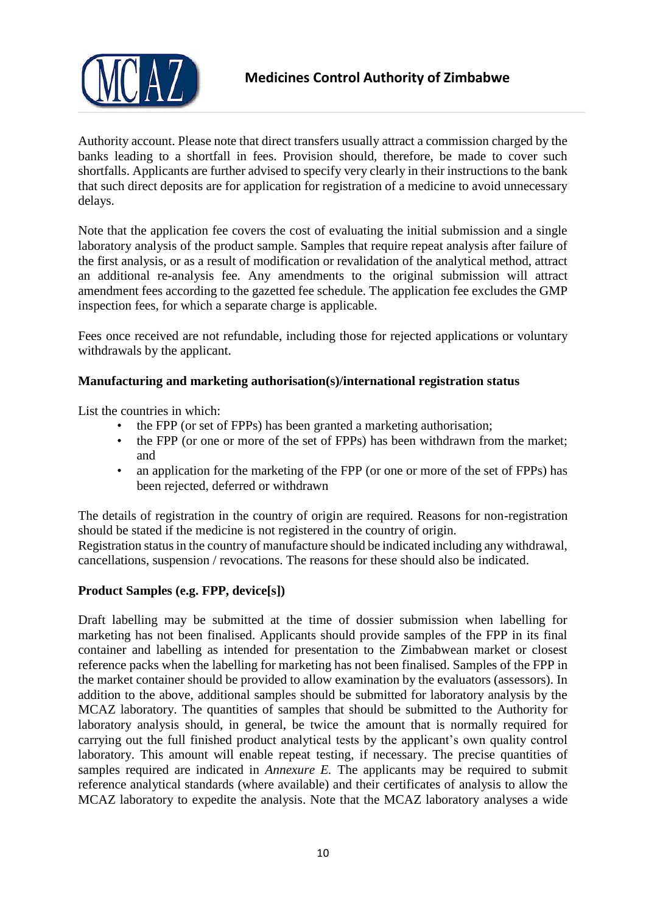

Authority account. Please note that direct transfers usually attract a commission charged by the banks leading to a shortfall in fees. Provision should, therefore, be made to cover such shortfalls. Applicants are further advised to specify very clearly in their instructions to the bank that such direct deposits are for application for registration of a medicine to avoid unnecessary delays.

Note that the application fee covers the cost of evaluating the initial submission and a single laboratory analysis of the product sample. Samples that require repeat analysis after failure of the first analysis, or as a result of modification or revalidation of the analytical method, attract an additional re-analysis fee. Any amendments to the original submission will attract amendment fees according to the gazetted fee schedule. The application fee excludes the GMP inspection fees, for which a separate charge is applicable.

Fees once received are not refundable, including those for rejected applications or voluntary withdrawals by the applicant.

# <span id="page-9-0"></span>**Manufacturing and marketing authorisation(s)/international registration status**

List the countries in which:

- the FPP (or set of FPPs) has been granted a marketing authorisation;
- the FPP (or one or more of the set of FPPs) has been withdrawn from the market; and
- an application for the marketing of the FPP (or one or more of the set of FPPs) has been rejected, deferred or withdrawn

The details of registration in the country of origin are required. Reasons for non-registration should be stated if the medicine is not registered in the country of origin.

Registration status in the country of manufacture should be indicated including any withdrawal, cancellations, suspension / revocations. The reasons for these should also be indicated.

# <span id="page-9-1"></span>**Product Samples (e.g. FPP, device[s])**

Draft labelling may be submitted at the time of dossier submission when labelling for marketing has not been finalised. Applicants should provide samples of the FPP in its final container and labelling as intended for presentation to the Zimbabwean market or closest reference packs when the labelling for marketing has not been finalised. Samples of the FPP in the market container should be provided to allow examination by the evaluators (assessors). In addition to the above, additional samples should be submitted for laboratory analysis by the MCAZ laboratory. The quantities of samples that should be submitted to the Authority for laboratory analysis should, in general, be twice the amount that is normally required for carrying out the full finished product analytical tests by the applicant's own quality control laboratory. This amount will enable repeat testing, if necessary. The precise quantities of samples required are indicated in *Annexure E.* The applicants may be required to submit reference analytical standards (where available) and their certificates of analysis to allow the MCAZ laboratory to expedite the analysis. Note that the MCAZ laboratory analyses a wide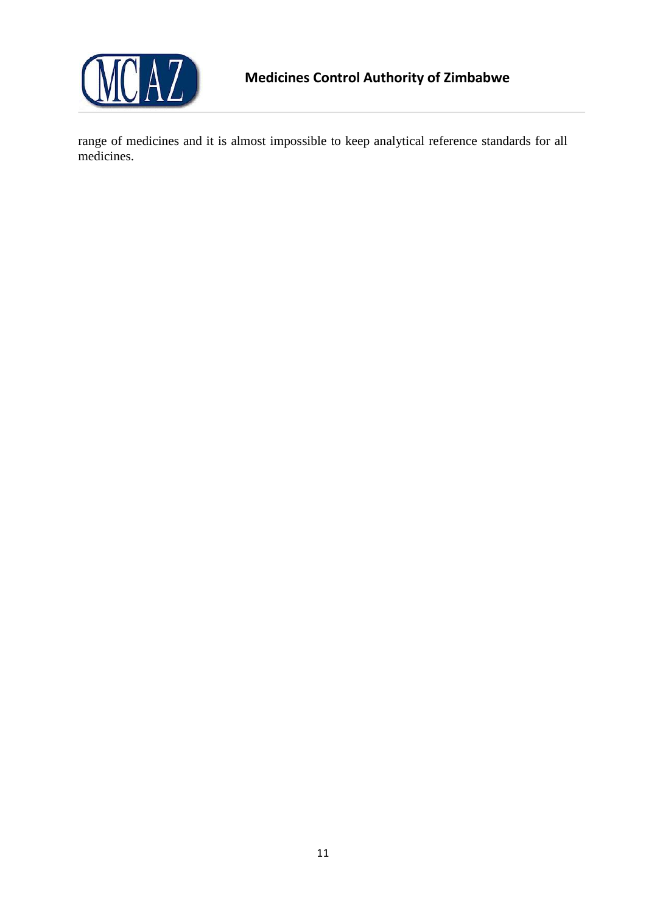

range of medicines and it is almost impossible to keep analytical reference standards for all medicines.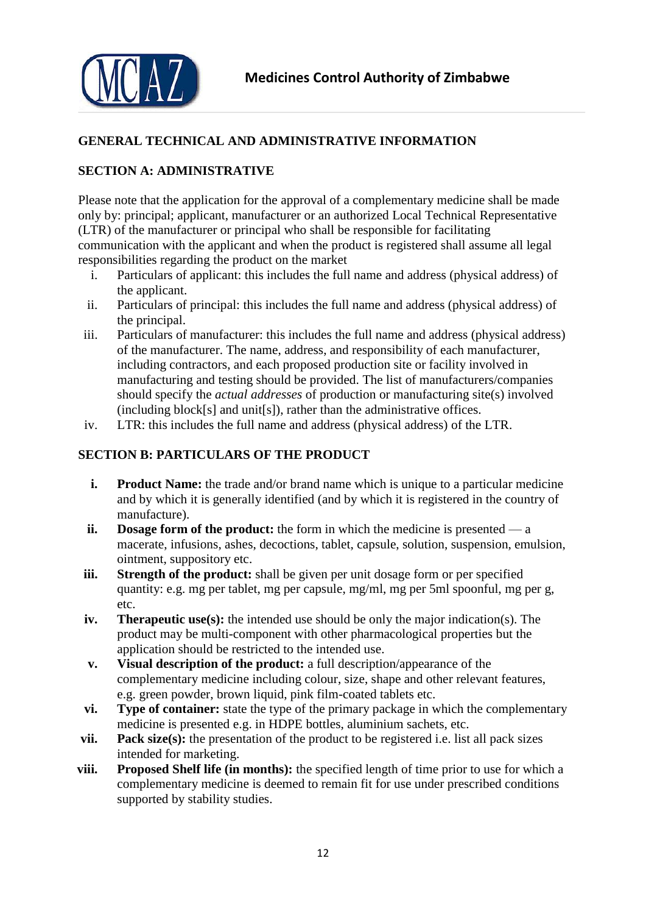



# <span id="page-11-0"></span>**GENERAL TECHNICAL AND ADMINISTRATIVE INFORMATION**

# <span id="page-11-1"></span>**SECTION A: ADMINISTRATIVE**

Please note that the application for the approval of a complementary medicine shall be made only by: principal; applicant, manufacturer or an authorized Local Technical Representative (LTR) of the manufacturer or principal who shall be responsible for facilitating communication with the applicant and when the product is registered shall assume all legal responsibilities regarding the product on the market

- i. Particulars of applicant: this includes the full name and address (physical address) of the applicant.
- ii. Particulars of principal: this includes the full name and address (physical address) of the principal.
- iii. Particulars of manufacturer: this includes the full name and address (physical address) of the manufacturer. The name, address, and responsibility of each manufacturer, including contractors, and each proposed production site or facility involved in manufacturing and testing should be provided. The list of manufacturers/companies should specify the *actual addresses* of production or manufacturing site(s) involved (including block[s] and unit[s]), rather than the administrative offices.
- iv. LTR: this includes the full name and address (physical address) of the LTR.

# <span id="page-11-2"></span>**SECTION B: PARTICULARS OF THE PRODUCT**

- **i. Product Name:** the trade and/or brand name which is unique to a particular medicine and by which it is generally identified (and by which it is registered in the country of manufacture).
- **ii. Dosage form of the product:** the form in which the medicine is presented a macerate, infusions, ashes, decoctions, tablet, capsule, solution, suspension, emulsion, ointment, suppository etc.
- **iii. Strength of the product:** shall be given per unit dosage form or per specified quantity: e.g. mg per tablet, mg per capsule, mg/ml, mg per 5ml spoonful, mg per g, etc.
- **iv. Therapeutic use(s):** the intended use should be only the major indication(s). The product may be multi-component with other pharmacological properties but the application should be restricted to the intended use.
- **v. Visual description of the product:** a full description/appearance of the complementary medicine including colour, size, shape and other relevant features, e.g. green powder, brown liquid, pink film-coated tablets etc.
- **vi. Type of container:** state the type of the primary package in which the complementary medicine is presented e.g. in HDPE bottles, aluminium sachets, etc.
- **vii. Pack size(s):** the presentation of the product to be registered i.e. list all pack sizes intended for marketing.
- **viii. Proposed Shelf life (in months):** the specified length of time prior to use for which a complementary medicine is deemed to remain fit for use under prescribed conditions supported by stability studies.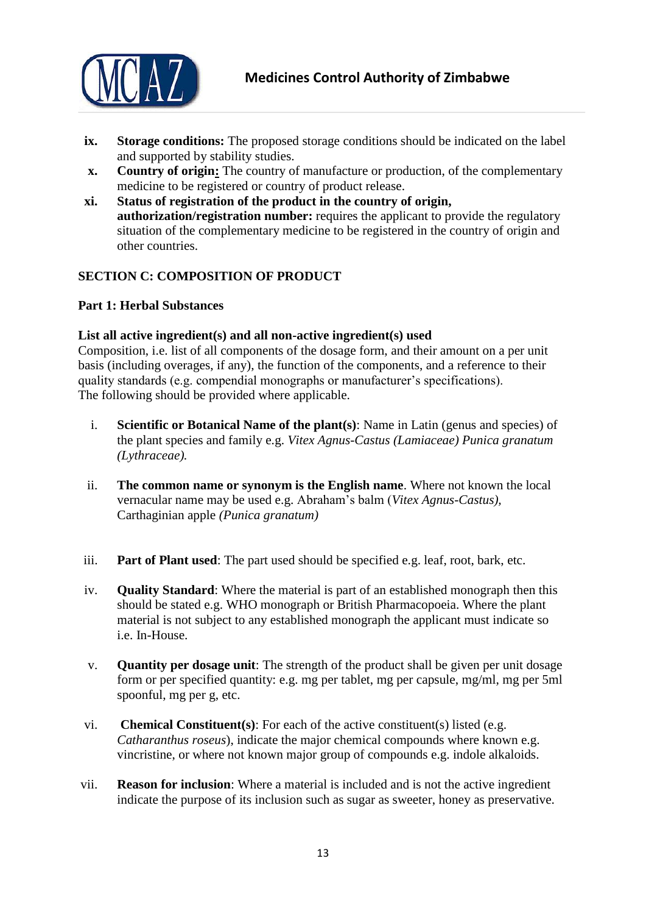

- **ix. Storage conditions:** The proposed storage conditions should be indicated on the label and supported by stability studies.
- **x. Country of origin:** The country of manufacture or production, of the complementary medicine to be registered or country of product release.
- **xi. Status of registration of the product in the country of origin, authorization/registration number:** requires the applicant to provide the regulatory situation of the complementary medicine to be registered in the country of origin and other countries.

# <span id="page-12-0"></span>**SECTION C: COMPOSITION OF PRODUCT**

# <span id="page-12-1"></span>**Part 1: Herbal Substances**

#### <span id="page-12-2"></span>**List all active ingredient(s) and all non-active ingredient(s) used**

Composition, i.e. list of all components of the dosage form, and their amount on a per unit basis (including overages, if any), the function of the components, and a reference to their quality standards (e.g. compendial monographs or manufacturer's specifications). The following should be provided where applicable.

- i. **Scientific or Botanical Name of the plant(s)**: Name in Latin (genus and species) of the plant species and family e.g. *Vitex Agnus-Castus (Lamiaceae) Punica granatum (Lythraceae).*
- ii. **The common name or synonym is the English name**. Where not known the local vernacular name may be used e.g. Abraham's balm (*Vitex Agnus-Castus),*  Carthaginian apple *(Punica granatum)*
- iii. **Part of Plant used**: The part used should be specified e.g. leaf, root, bark, etc.
- iv. **Quality Standard**: Where the material is part of an established monograph then this should be stated e.g. WHO monograph or British Pharmacopoeia. Where the plant material is not subject to any established monograph the applicant must indicate so i.e. In-House.
- v. **Quantity per dosage unit**: The strength of the product shall be given per unit dosage form or per specified quantity: e.g. mg per tablet, mg per capsule, mg/ml, mg per 5ml spoonful, mg per g, etc.
- vi. **Chemical Constituent(s)**: For each of the active constituent(s) listed (e.g. *Catharanthus roseus*), indicate the major chemical compounds where known e.g. vincristine, or where not known major group of compounds e.g. indole alkaloids.
- vii. **Reason for inclusion**: Where a material is included and is not the active ingredient indicate the purpose of its inclusion such as sugar as sweeter, honey as preservative.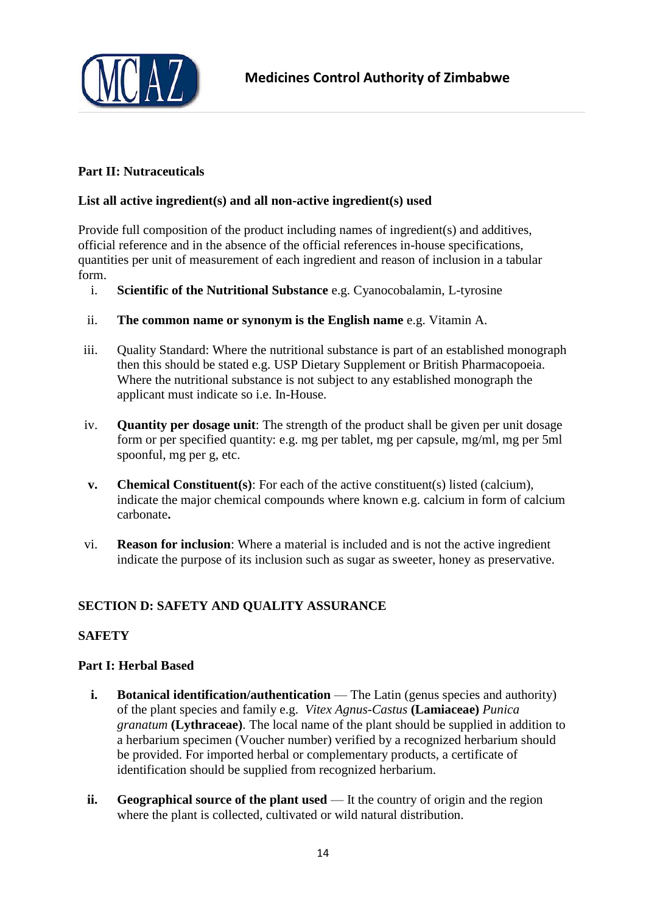

# <span id="page-13-0"></span>**Part II: Nutraceuticals**

# <span id="page-13-1"></span>**List all active ingredient(s) and all non-active ingredient(s) used**

Provide full composition of the product including names of ingredient(s) and additives, official reference and in the absence of the official references in-house specifications, quantities per unit of measurement of each ingredient and reason of inclusion in a tabular form.

- i. **Scientific of the Nutritional Substance** e.g. Cyanocobalamin, L-tyrosine
- ii. **The common name or synonym is the English name** e.g. Vitamin A.
- iii. Quality Standard: Where the nutritional substance is part of an established monograph then this should be stated e.g. USP Dietary Supplement or British Pharmacopoeia. Where the nutritional substance is not subject to any established monograph the applicant must indicate so i.e. In-House.
- iv. **Quantity per dosage unit**: The strength of the product shall be given per unit dosage form or per specified quantity: e.g. mg per tablet, mg per capsule, mg/ml, mg per 5ml spoonful, mg per g, etc.
- **v. Chemical Constituent(s)**: For each of the active constituent(s) listed (calcium), indicate the major chemical compounds where known e.g. calcium in form of calcium carbonate**.**
- vi. **Reason for inclusion**: Where a material is included and is not the active ingredient indicate the purpose of its inclusion such as sugar as sweeter, honey as preservative.

# <span id="page-13-2"></span>**SECTION D: SAFETY AND QUALITY ASSURANCE**

# <span id="page-13-3"></span>**SAFETY**

#### <span id="page-13-4"></span>**Part I: Herbal Based**

- **i. Botanical identification/authentication** The Latin (genus species and authority) of the plant species and family e.g. *Vitex Agnus-Castus* **(Lamiaceae)** *Punica granatum* **(Lythraceae)**. The local name of the plant should be supplied in addition to a herbarium specimen (Voucher number) verified by a recognized herbarium should be provided. For imported herbal or complementary products, a certificate of identification should be supplied from recognized herbarium.
- **ii. Geographical source of the plant used** It the country of origin and the region where the plant is collected, cultivated or wild natural distribution.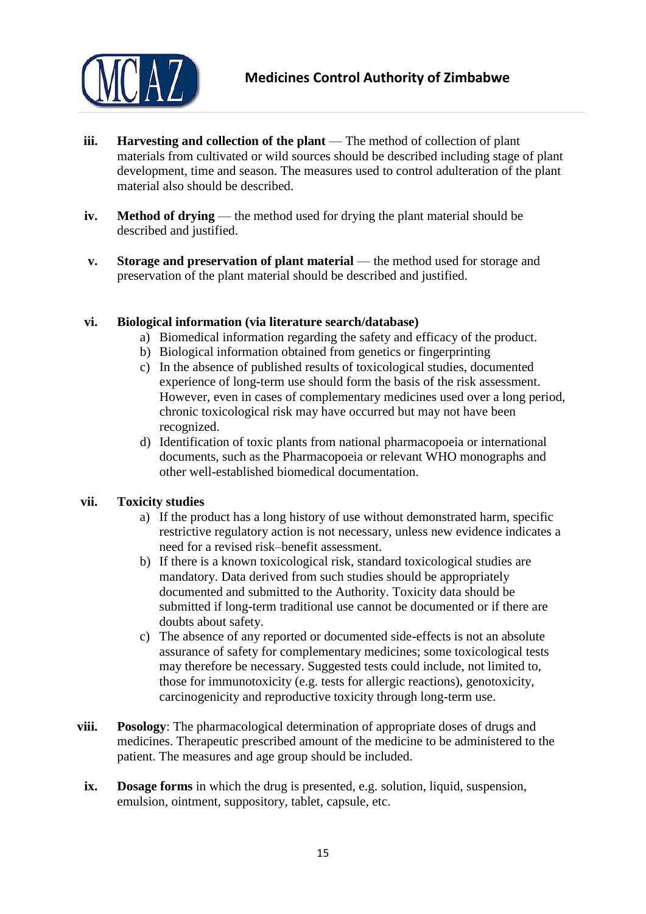

- **iii. Harvesting and collection of the plant** The method of collection of plant materials from cultivated or wild sources should be described including stage of plant development, time and season. The measures used to control adulteration of the plant material also should be described.
- **iv. Method of drying** the method used for drying the plant material should be described and justified.
- **v. Storage and preservation of plant material** the method used for storage and preservation of the plant material should be described and justified.

# **vi. Biological information (via literature search/database)**

- a) Biomedical information regarding the safety and efficacy of the product.
- b) Biological information obtained from genetics or fingerprinting
- c) In the absence of published results of toxicological studies, documented experience of long-term use should form the basis of the risk assessment. However, even in cases of complementary medicines used over a long period, chronic toxicological risk may have occurred but may not have been recognized.
- d) Identification of toxic plants from national pharmacopoeia or international documents, such as the Pharmacopoeia or relevant WHO monographs and other well-established biomedical documentation.

#### **vii. Toxicity studies**

- a) If the product has a long history of use without demonstrated harm, specific restrictive regulatory action is not necessary, unless new evidence indicates a need for a revised risk–benefit assessment.
- b) If there is a known toxicological risk, standard toxicological studies are mandatory. Data derived from such studies should be appropriately documented and submitted to the Authority. Toxicity data should be submitted if long-term traditional use cannot be documented or if there are doubts about safety.
- c) The absence of any reported or documented side-effects is not an absolute assurance of safety for complementary medicines; some toxicological tests may therefore be necessary. Suggested tests could include, not limited to, those for immunotoxicity (e.g. tests for allergic reactions), genotoxicity, carcinogenicity and reproductive toxicity through long-term use.
- **viii. Posology**: The pharmacological determination of appropriate doses of drugs and medicines. Therapeutic prescribed amount of the medicine to be administered to the patient. The measures and age group should be included.
- **ix. Dosage forms** in which the drug is presented, e.g. solution, liquid, suspension, emulsion, ointment, suppository, tablet, capsule, etc.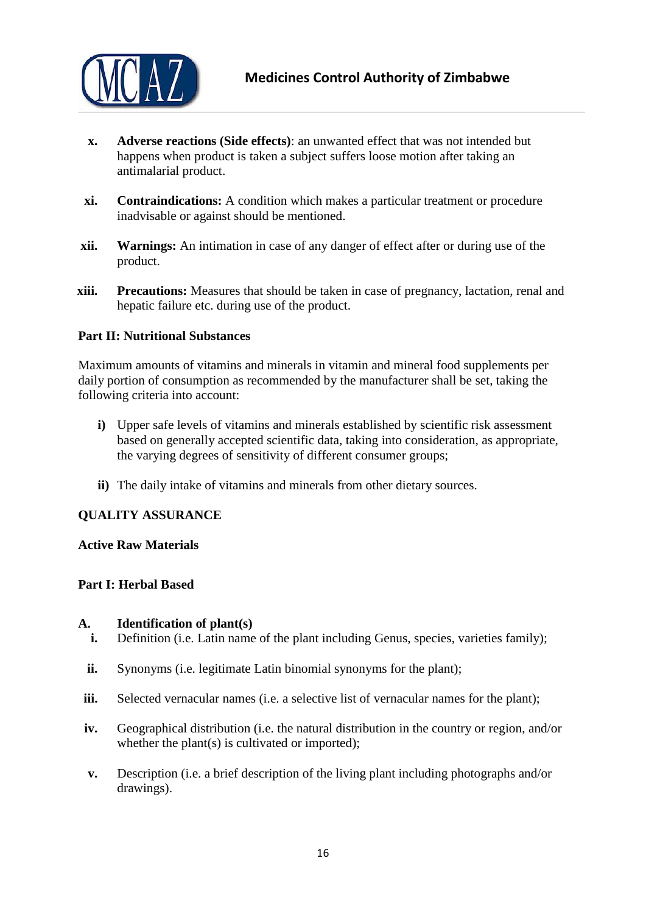

- **x. Adverse reactions (Side effects)**: an unwanted effect that was not intended but happens when product is taken a subject suffers loose motion after taking an antimalarial product.
- **xi. Contraindications:** A condition which makes a particular treatment or procedure inadvisable or against should be mentioned.
- **xii. Warnings:** An intimation in case of any danger of effect after or during use of the product.
- **xiii. Precautions:** Measures that should be taken in case of pregnancy, lactation, renal and hepatic failure etc. during use of the product.

# <span id="page-15-0"></span>**Part II: Nutritional Substances**

Maximum amounts of vitamins and minerals in vitamin and mineral food supplements per daily portion of consumption as recommended by the manufacturer shall be set, taking the following criteria into account:

- **i)** Upper safe levels of vitamins and minerals established by scientific risk assessment based on generally accepted scientific data, taking into consideration, as appropriate, the varying degrees of sensitivity of different consumer groups;
- **ii)** The daily intake of vitamins and minerals from other dietary sources.

#### <span id="page-15-1"></span>**QUALITY ASSURANCE**

#### <span id="page-15-2"></span>**Active Raw Materials**

#### <span id="page-15-3"></span>**Part I: Herbal Based**

#### **A. Identification of plant(s)**

- **i.** Definition (i.e. Latin name of the plant including Genus, species, varieties family);
- **ii.** Synonyms (i.e. legitimate Latin binomial synonyms for the plant);
- **iii.** Selected vernacular names (i.e. a selective list of vernacular names for the plant);
- **iv.** Geographical distribution (i.e. the natural distribution in the country or region, and/or whether the plant(s) is cultivated or imported);
- **v.** Description (i.e. a brief description of the living plant including photographs and/or drawings).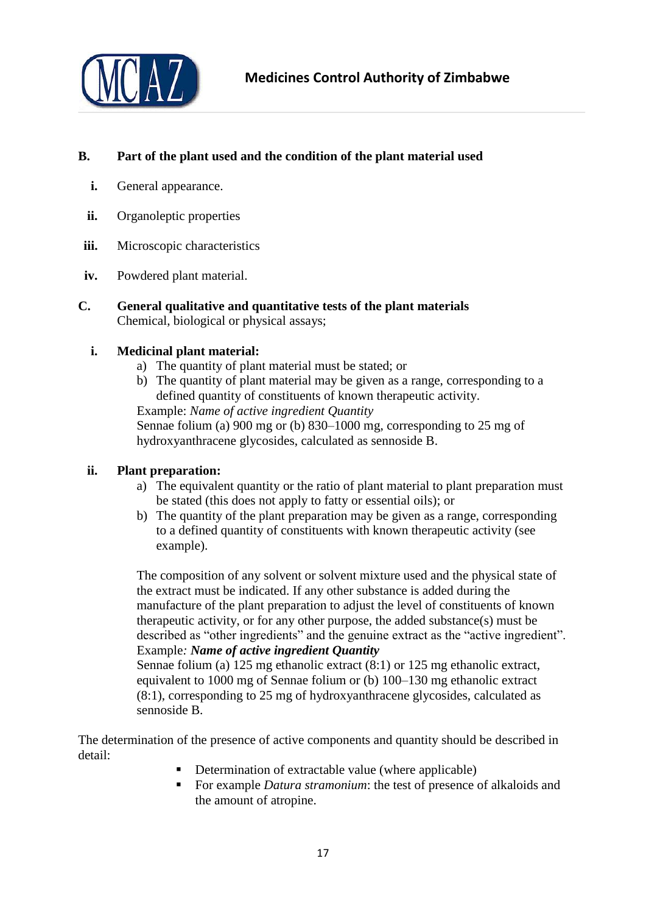

# **B. Part of the plant used and the condition of the plant material used**

- **i.** General appearance.
- **ii.** Organoleptic properties
- **iii.** Microscopic characteristics
- **iv.** Powdered plant material.
- **C. General qualitative and quantitative tests of the plant materials** Chemical, biological or physical assays;

# **i. Medicinal plant material:**

- a) The quantity of plant material must be stated; or
- b) The quantity of plant material may be given as a range, corresponding to a defined quantity of constituents of known therapeutic activity. Example: *Name of active ingredient Quantity*

Sennae folium (a) 900 mg or (b) 830–1000 mg, corresponding to 25 mg of hydroxyanthracene glycosides, calculated as sennoside B.

# **ii. Plant preparation:**

- a) The equivalent quantity or the ratio of plant material to plant preparation must be stated (this does not apply to fatty or essential oils); or
- b) The quantity of the plant preparation may be given as a range, corresponding to a defined quantity of constituents with known therapeutic activity (see example).

The composition of any solvent or solvent mixture used and the physical state of the extract must be indicated. If any other substance is added during the manufacture of the plant preparation to adjust the level of constituents of known therapeutic activity, or for any other purpose, the added substance(s) must be described as "other ingredients" and the genuine extract as the "active ingredient". Example*: Name of active ingredient Quantity*

Sennae folium (a) 125 mg ethanolic extract (8:1) or 125 mg ethanolic extract, equivalent to 1000 mg of Sennae folium or (b) 100–130 mg ethanolic extract (8:1), corresponding to 25 mg of hydroxyanthracene glycosides, calculated as sennoside B.

The determination of the presence of active components and quantity should be described in detail:

- Determination of extractable value (where applicable)
- For example *Datura stramonium*: the test of presence of alkaloids and the amount of atropine.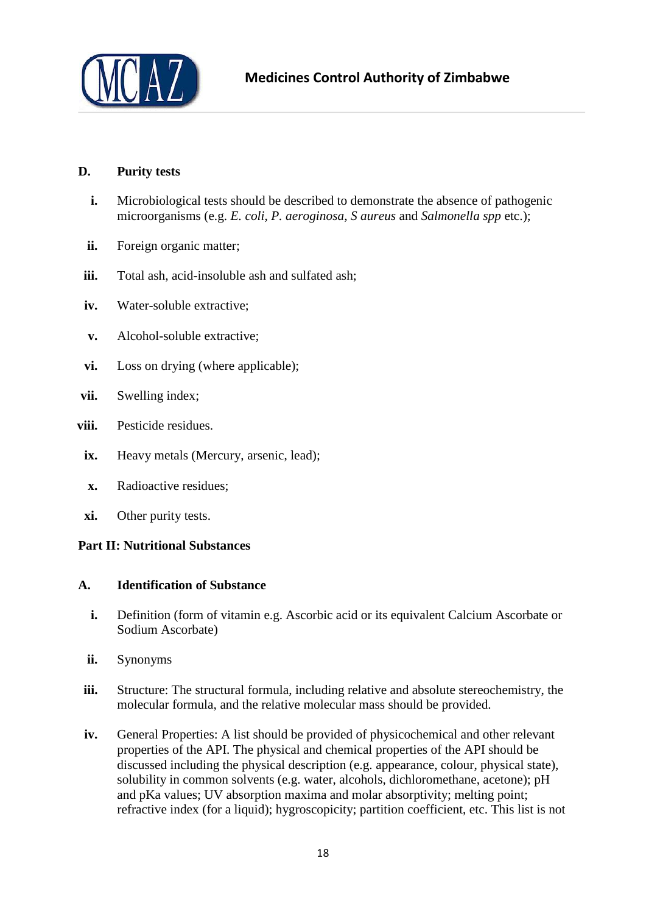

# **D. Purity tests**

- **i.** Microbiological tests should be described to demonstrate the absence of pathogenic microorganisms (e.g. *E. coli*, *P. aeroginosa*, *S aureus* and *Salmonella spp* etc.);
- **ii.** Foreign organic matter:
- iii. Total ash, acid-insoluble ash and sulfated ash;
- **iv.** Water-soluble extractive;
- **v.** Alcohol-soluble extractive;
- **vi.** Loss on drying (where applicable);
- **vii.** Swelling index;
- **viii.** Pesticide residues.
- ix. Heavy metals (Mercury, arsenic, lead);
- **x.** Radioactive residues;
- **xi.** Other purity tests.

# <span id="page-17-0"></span>**Part II: Nutritional Substances**

#### **A. Identification of Substance**

- **i.** Definition (form of vitamin e.g. Ascorbic acid or its equivalent Calcium Ascorbate or Sodium Ascorbate)
- **ii.** Synonyms
- **iii.** Structure: The structural formula, including relative and absolute stereochemistry, the molecular formula, and the relative molecular mass should be provided.
- **iv.** General Properties: A list should be provided of physicochemical and other relevant properties of the API. The physical and chemical properties of the API should be discussed including the physical description (e.g. appearance, colour, physical state), solubility in common solvents (e.g. water, alcohols, dichloromethane, acetone); pH and pKa values; UV absorption maxima and molar absorptivity; melting point; refractive index (for a liquid); hygroscopicity; partition coefficient, etc. This list is not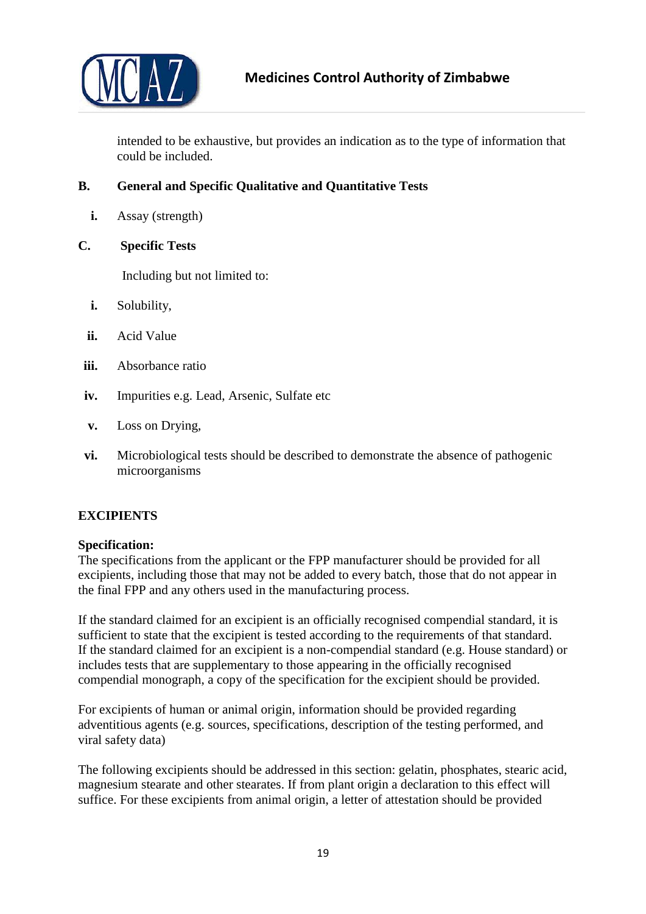

intended to be exhaustive, but provides an indication as to the type of information that could be included.

# **B. General and Specific Qualitative and Quantitative Tests**

- **i.** Assay (strength)
- **C. Specific Tests**

Including but not limited to:

- **i.** Solubility,
- **ii.** Acid Value
- **iii.** Absorbance ratio
- **iv.** Impurities e.g. Lead, Arsenic, Sulfate etc
- **v.** Loss on Drying,
- **vi.** Microbiological tests should be described to demonstrate the absence of pathogenic microorganisms

# <span id="page-18-0"></span>**EXCIPIENTS**

#### <span id="page-18-1"></span>**Specification:**

The specifications from the applicant or the FPP manufacturer should be provided for all excipients, including those that may not be added to every batch, those that do not appear in the final FPP and any others used in the manufacturing process.

If the standard claimed for an excipient is an officially recognised compendial standard, it is sufficient to state that the excipient is tested according to the requirements of that standard. If the standard claimed for an excipient is a non-compendial standard (e.g. House standard) or includes tests that are supplementary to those appearing in the officially recognised compendial monograph, a copy of the specification for the excipient should be provided.

For excipients of human or animal origin, information should be provided regarding adventitious agents (e.g. sources, specifications, description of the testing performed, and viral safety data)

The following excipients should be addressed in this section: gelatin, phosphates, stearic acid, magnesium stearate and other stearates. If from plant origin a declaration to this effect will suffice. For these excipients from animal origin, a letter of attestation should be provided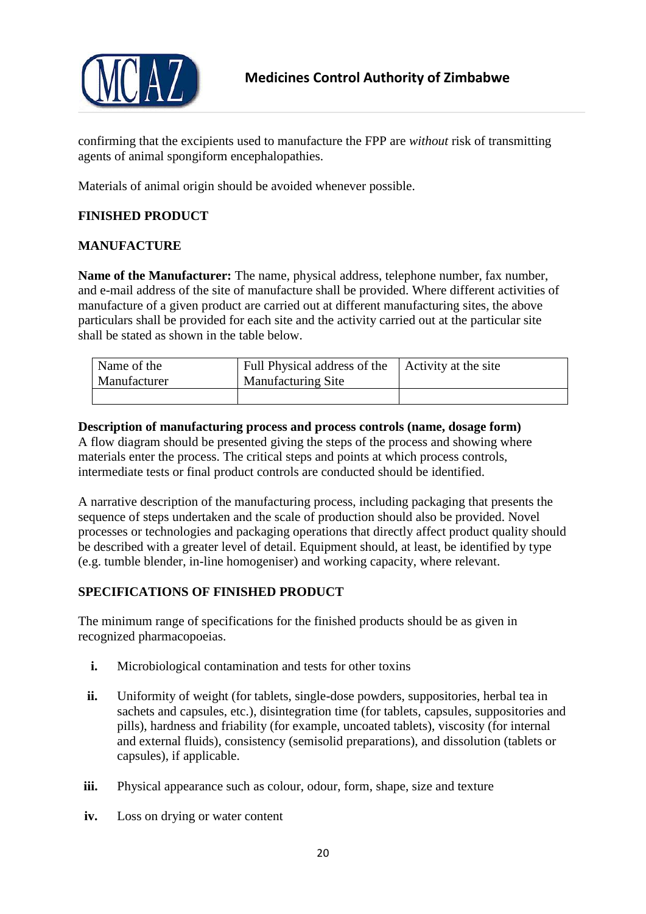

confirming that the excipients used to manufacture the FPP are *without* risk of transmitting agents of animal spongiform encephalopathies.

Materials of animal origin should be avoided whenever possible.

# <span id="page-19-0"></span>**FINISHED PRODUCT**

# <span id="page-19-1"></span>**MANUFACTURE**

**Name of the Manufacturer:** The name, physical address, telephone number, fax number, and e-mail address of the site of manufacture shall be provided. Where different activities of manufacture of a given product are carried out at different manufacturing sites, the above particulars shall be provided for each site and the activity carried out at the particular site shall be stated as shown in the table below.

| Name of the<br>Manufacturer | Full Physical address of the<br><b>Manufacturing Site</b> | Activity at the site |
|-----------------------------|-----------------------------------------------------------|----------------------|
|                             |                                                           |                      |

#### **Description of manufacturing process and process controls (name, dosage form)**

A flow diagram should be presented giving the steps of the process and showing where materials enter the process. The critical steps and points at which process controls, intermediate tests or final product controls are conducted should be identified.

A narrative description of the manufacturing process, including packaging that presents the sequence of steps undertaken and the scale of production should also be provided. Novel processes or technologies and packaging operations that directly affect product quality should be described with a greater level of detail. Equipment should, at least, be identified by type (e.g. tumble blender, in-line homogeniser) and working capacity, where relevant.

# <span id="page-19-2"></span>**SPECIFICATIONS OF FINISHED PRODUCT**

The minimum range of specifications for the finished products should be as given in recognized pharmacopoeias.

- **i.** Microbiological contamination and tests for other toxins
- **ii.** Uniformity of weight (for tablets, single-dose powders, suppositories, herbal tea in sachets and capsules, etc.), disintegration time (for tablets, capsules, suppositories and pills), hardness and friability (for example, uncoated tablets), viscosity (for internal and external fluids), consistency (semisolid preparations), and dissolution (tablets or capsules), if applicable.
- **iii.** Physical appearance such as colour, odour, form, shape, size and texture
- **iv.** Loss on drying or water content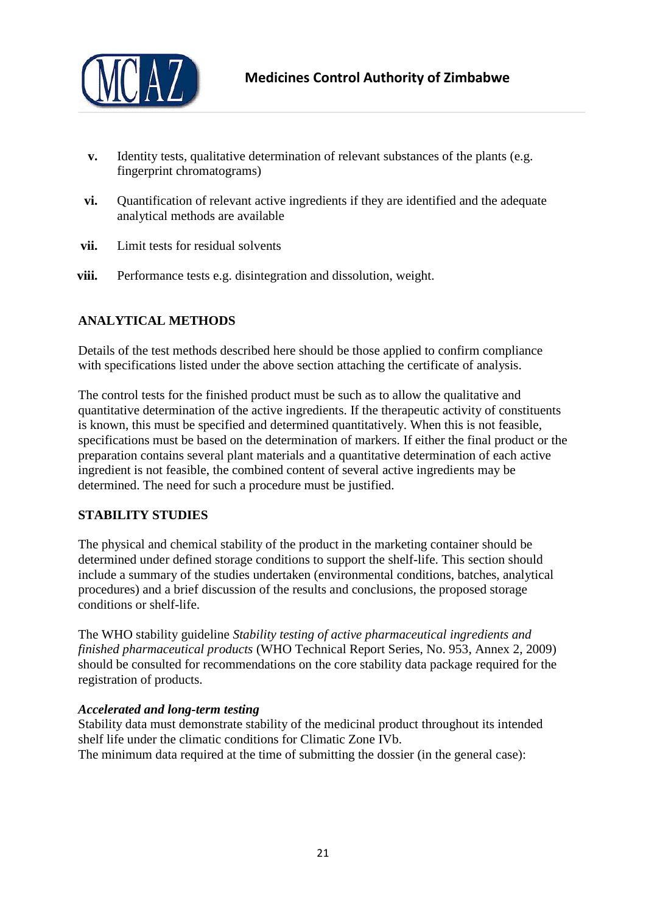

- **v.** Identity tests, qualitative determination of relevant substances of the plants (e.g. fingerprint chromatograms)
- **vi.** Quantification of relevant active ingredients if they are identified and the adequate analytical methods are available
- **vii.** Limit tests for residual solvents
- **viii.** Performance tests e.g. disintegration and dissolution, weight.

# <span id="page-20-0"></span>**ANALYTICAL METHODS**

Details of the test methods described here should be those applied to confirm compliance with specifications listed under the above section attaching the certificate of analysis.

The control tests for the finished product must be such as to allow the qualitative and quantitative determination of the active ingredients. If the therapeutic activity of constituents is known, this must be specified and determined quantitatively. When this is not feasible, specifications must be based on the determination of markers. If either the final product or the preparation contains several plant materials and a quantitative determination of each active ingredient is not feasible, the combined content of several active ingredients may be determined. The need for such a procedure must be justified.

# <span id="page-20-1"></span>**STABILITY STUDIES**

The physical and chemical stability of the product in the marketing container should be determined under defined storage conditions to support the shelf-life. This section should include a summary of the studies undertaken (environmental conditions, batches, analytical procedures) and a brief discussion of the results and conclusions, the proposed storage conditions or shelf-life.

The WHO stability guideline *Stability testing of active pharmaceutical ingredients and finished pharmaceutical products* (WHO Technical Report Series, No. 953, Annex 2, 2009) should be consulted for recommendations on the core stability data package required for the registration of products.

# *Accelerated and long-term testing*

Stability data must demonstrate stability of the medicinal product throughout its intended shelf life under the climatic conditions for Climatic Zone IVb. The minimum data required at the time of submitting the dossier (in the general case):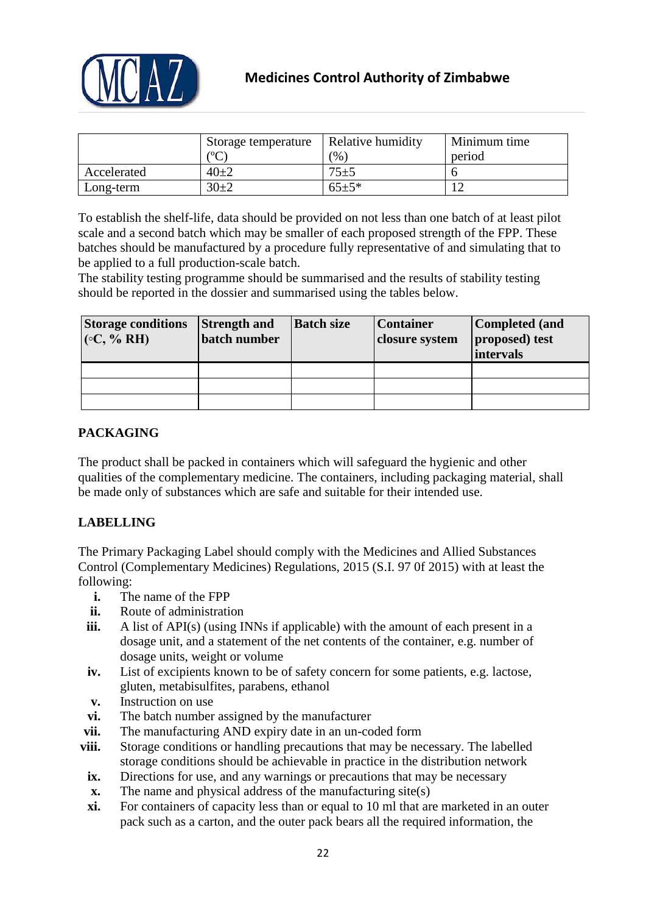

|             | Storage temperature        | Relative humidity | Minimum time |
|-------------|----------------------------|-------------------|--------------|
|             | $\mathcal{C}^{\mathbf{C}}$ | $\%$              | period       |
| Accelerated | $40\pm 2$                  | $75 + 5$          |              |
| Long-term   | $30+2$                     | $65+5*$           |              |

To establish the shelf-life, data should be provided on not less than one batch of at least pilot scale and a second batch which may be smaller of each proposed strength of the FPP. These batches should be manufactured by a procedure fully representative of and simulating that to be applied to a full production-scale batch.

The stability testing programme should be summarised and the results of stability testing should be reported in the dossier and summarised using the tables below.

| <b>Storage conditions</b><br>$(C, \% RH)$ | <b>Strength and</b><br>batch number | <b>Batch size</b> | <b>Container</b><br>closure system | Completed (and<br>proposed) test<br>intervals |
|-------------------------------------------|-------------------------------------|-------------------|------------------------------------|-----------------------------------------------|
|                                           |                                     |                   |                                    |                                               |
|                                           |                                     |                   |                                    |                                               |
|                                           |                                     |                   |                                    |                                               |

# <span id="page-21-0"></span>**PACKAGING**

The product shall be packed in containers which will safeguard the hygienic and other qualities of the complementary medicine. The containers, including packaging material, shall be made only of substances which are safe and suitable for their intended use.

# <span id="page-21-1"></span>**LABELLING**

The Primary Packaging Label should comply with the Medicines and Allied Substances Control (Complementary Medicines) Regulations, 2015 (S.I. 97 0f 2015) with at least the following:

- **i.** The name of the FPP
- **ii.** Route of administration
- **iii.** A list of API(s) (using INNs if applicable) with the amount of each present in a dosage unit, and a statement of the net contents of the container, e.g. number of dosage units, weight or volume
- **iv.** List of excipients known to be of safety concern for some patients, e.g. lactose, gluten, metabisulfites, parabens, ethanol
- **v.** Instruction on use
- **vi.** The batch number assigned by the manufacturer
- **vii.** The manufacturing AND expiry date in an un-coded form
- **viii.** Storage conditions or handling precautions that may be necessary. The labelled storage conditions should be achievable in practice in the distribution network
	- **ix.** Directions for use, and any warnings or precautions that may be necessary
	- **x.** The name and physical address of the manufacturing site(s)
	- **xi.** For containers of capacity less than or equal to 10 ml that are marketed in an outer pack such as a carton, and the outer pack bears all the required information, the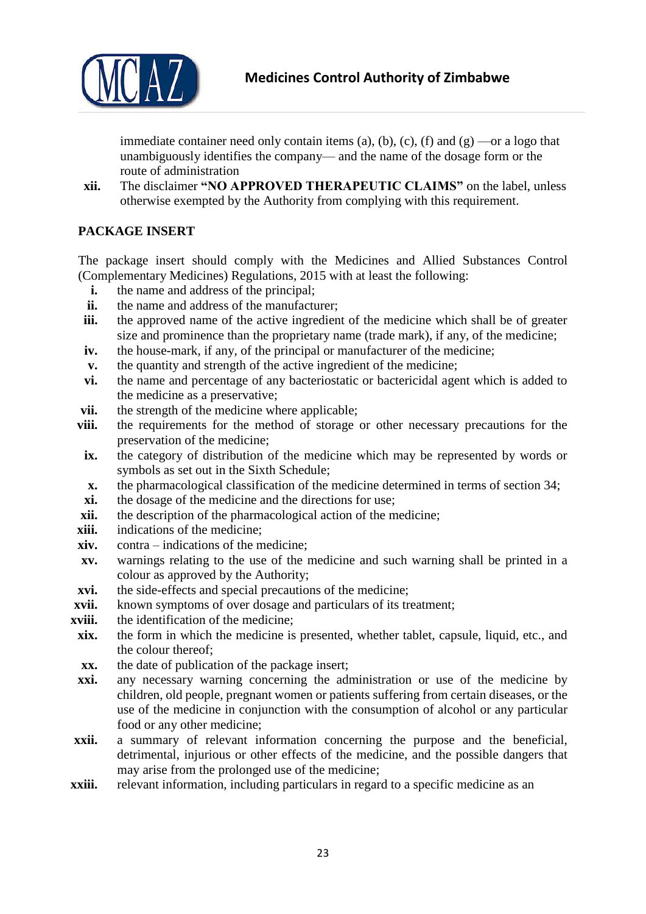

immediate container need only contain items (a), (b), (c), (f) and  $(g)$  —or a logo that unambiguously identifies the company— and the name of the dosage form or the route of administration

**xii.** The disclaimer **"NO APPROVED THERAPEUTIC CLAIMS"** on the label, unless otherwise exempted by the Authority from complying with this requirement.

# <span id="page-22-0"></span>**PACKAGE INSERT**

The package insert should comply with the Medicines and Allied Substances Control (Complementary Medicines) Regulations, 2015 with at least the following:

- **i.** the name and address of the principal;
- **ii.** the name and address of the manufacturer;
- **iii.** the approved name of the active ingredient of the medicine which shall be of greater size and prominence than the proprietary name (trade mark), if any, of the medicine;
- **iv.** the house-mark, if any, of the principal or manufacturer of the medicine;
- **v.** the quantity and strength of the active ingredient of the medicine;
- **vi.** the name and percentage of any bacteriostatic or bactericidal agent which is added to the medicine as a preservative;
- **vii.** the strength of the medicine where applicable:
- **viii.** the requirements for the method of storage or other necessary precautions for the preservation of the medicine;
- **ix.** the category of distribution of the medicine which may be represented by words or symbols as set out in the Sixth Schedule;
- **x.** the pharmacological classification of the medicine determined in terms of section 34;
- **xi.** the dosage of the medicine and the directions for use;
- **xii.** the description of the pharmacological action of the medicine;
- **xiii.** indications of the medicine:
- **xiv.** contra indications of the medicine;
- **xv.** warnings relating to the use of the medicine and such warning shall be printed in a colour as approved by the Authority;
- **xvi.** the side-effects and special precautions of the medicine;
- **xvii.** known symptoms of over dosage and particulars of its treatment;
- **xviii.** the identification of the medicine;
- **xix.** the form in which the medicine is presented, whether tablet, capsule, liquid, etc., and the colour thereof;
- **xx.** the date of publication of the package insert;
- **xxi.** any necessary warning concerning the administration or use of the medicine by children, old people, pregnant women or patients suffering from certain diseases, or the use of the medicine in conjunction with the consumption of alcohol or any particular food or any other medicine;
- **xxii.** a summary of relevant information concerning the purpose and the beneficial, detrimental, injurious or other effects of the medicine, and the possible dangers that may arise from the prolonged use of the medicine;
- **xxiii.** relevant information, including particulars in regard to a specific medicine as an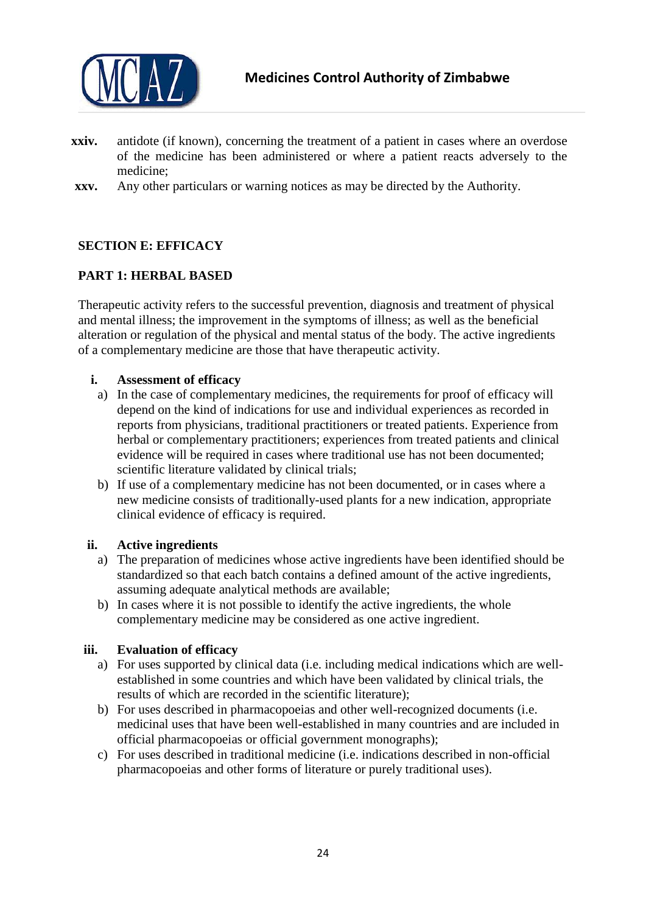

- **xxiv.** antidote (if known), concerning the treatment of a patient in cases where an overdose of the medicine has been administered or where a patient reacts adversely to the medicine;
- **xxv.** Any other particulars or warning notices as may be directed by the Authority.

# <span id="page-23-0"></span>**SECTION E: EFFICACY**

# <span id="page-23-1"></span>**PART 1: HERBAL BASED**

Therapeutic activity refers to the successful prevention, diagnosis and treatment of physical and mental illness; the improvement in the symptoms of illness; as well as the beneficial alteration or regulation of the physical and mental status of the body. The active ingredients of a complementary medicine are those that have therapeutic activity.

#### **i. Assessment of efficacy**

- a) In the case of complementary medicines, the requirements for proof of efficacy will depend on the kind of indications for use and individual experiences as recorded in reports from physicians, traditional practitioners or treated patients. Experience from herbal or complementary practitioners; experiences from treated patients and clinical evidence will be required in cases where traditional use has not been documented; scientific literature validated by clinical trials;
- b) If use of a complementary medicine has not been documented, or in cases where a new medicine consists of traditionally-used plants for a new indication, appropriate clinical evidence of efficacy is required.

# **ii. Active ingredients**

- a) The preparation of medicines whose active ingredients have been identified should be standardized so that each batch contains a defined amount of the active ingredients, assuming adequate analytical methods are available;
- b) In cases where it is not possible to identify the active ingredients, the whole complementary medicine may be considered as one active ingredient.

# **iii. Evaluation of efficacy**

- a) For uses supported by clinical data (i.e. including medical indications which are wellestablished in some countries and which have been validated by clinical trials, the results of which are recorded in the scientific literature);
- b) For uses described in pharmacopoeias and other well-recognized documents (i.e. medicinal uses that have been well-established in many countries and are included in official pharmacopoeias or official government monographs);
- c) For uses described in traditional medicine (i.e. indications described in non-official pharmacopoeias and other forms of literature or purely traditional uses).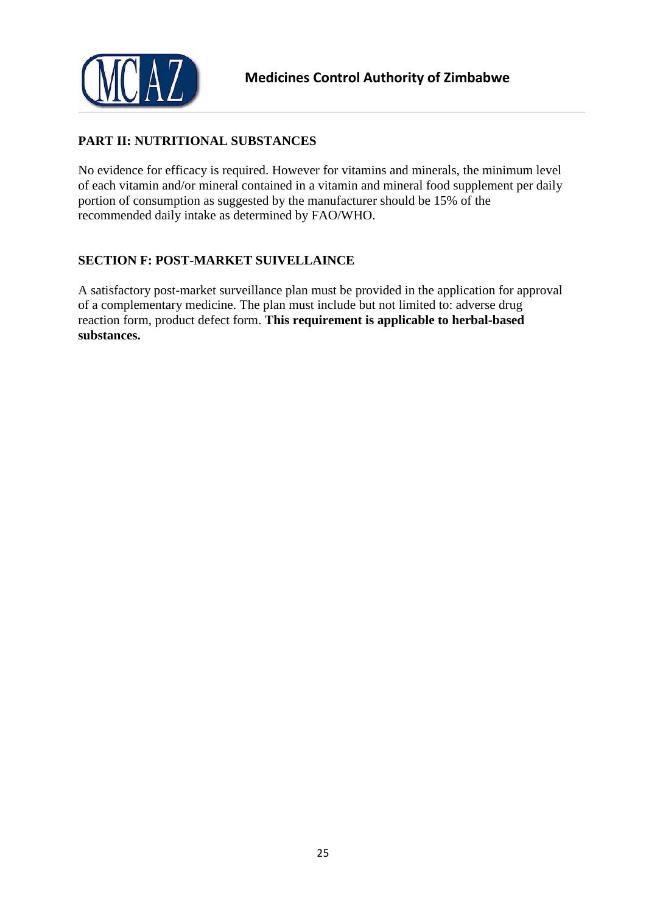

# <span id="page-24-0"></span>**PART II: NUTRITIONAL SUBSTANCES**

No evidence for efficacy is required. However for vitamins and minerals, the minimum level of each vitamin and/or mineral contained in a vitamin and mineral food supplement per daily portion of consumption as suggested by the manufacturer should be 15% of the recommended daily intake as determined by FAO/WHO.

# <span id="page-24-1"></span>**SECTION F: POST-MARKET SUIVELLAINCE**

A satisfactory post-market surveillance plan must be provided in the application for approval of a complementary medicine. The plan must include but not limited to: adverse drug reaction form, product defect form. **This requirement is applicable to herbal-based substances.**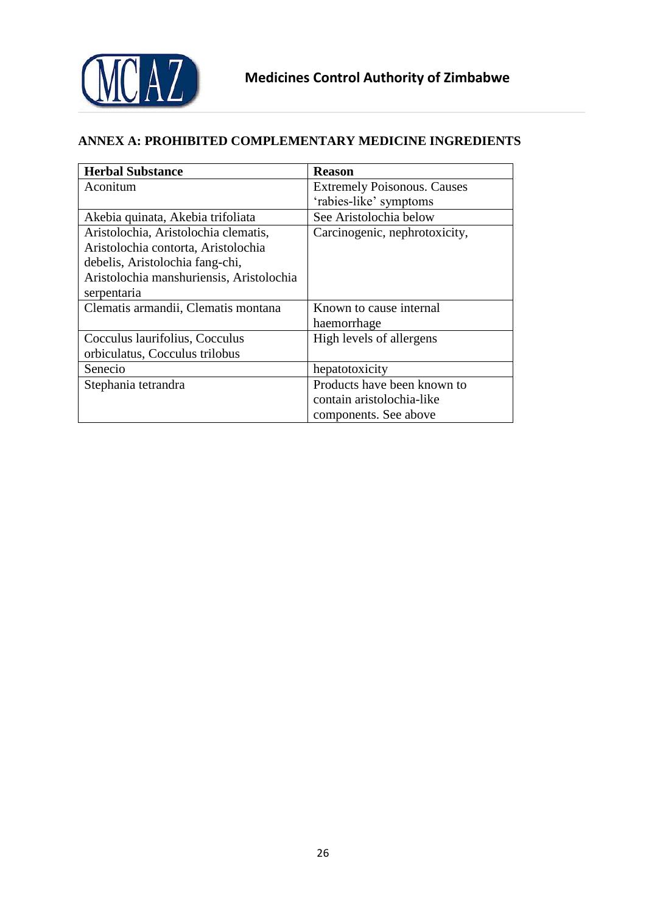

# <span id="page-25-0"></span>**ANNEX A: PROHIBITED COMPLEMENTARY MEDICINE INGREDIENTS**

| <b>Herbal Substance</b>                  | <b>Reason</b>                      |
|------------------------------------------|------------------------------------|
| Aconitum                                 | <b>Extremely Poisonous. Causes</b> |
|                                          | 'rabies-like' symptoms             |
| Akebia quinata, Akebia trifoliata        | See Aristolochia below             |
| Aristolochia, Aristolochia clematis,     | Carcinogenic, nephrotoxicity,      |
| Aristolochia contorta, Aristolochia      |                                    |
| debelis, Aristolochia fang-chi,          |                                    |
| Aristolochia manshuriensis, Aristolochia |                                    |
| serpentaria                              |                                    |
| Clematis armandii, Clematis montana      | Known to cause internal            |
|                                          | haemorrhage                        |
| Cocculus laurifolius, Cocculus           | High levels of allergens           |
| orbiculatus, Cocculus trilobus           |                                    |
| Senecio                                  | hepatotoxicity                     |
| Stephania tetrandra                      | Products have been known to        |
|                                          | contain aristolochia-like          |
|                                          | components. See above              |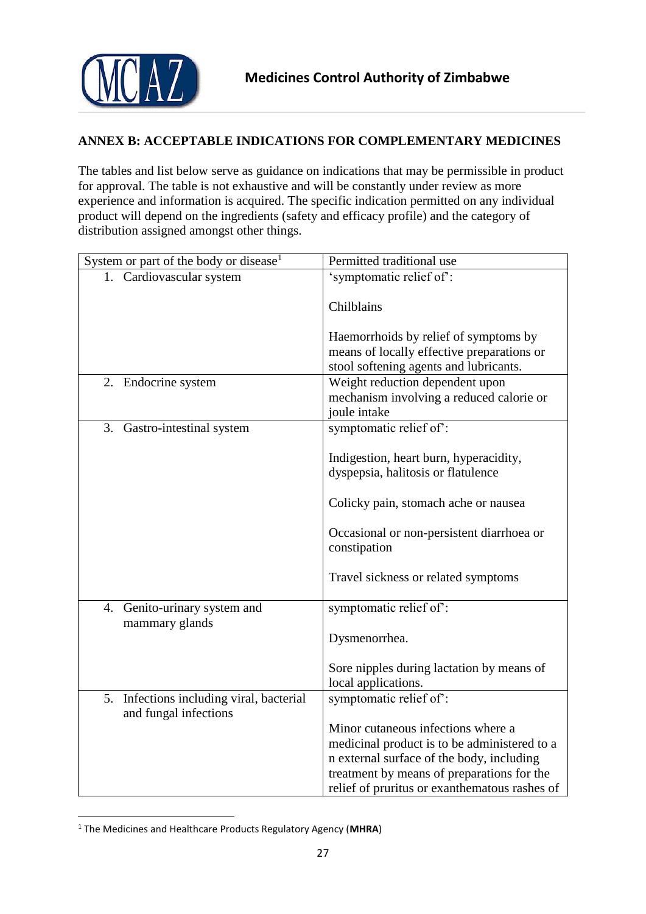

# <span id="page-26-0"></span>**ANNEX B: ACCEPTABLE INDICATIONS FOR COMPLEMENTARY MEDICINES**

The tables and list below serve as guidance on indications that may be permissible in product for approval. The table is not exhaustive and will be constantly under review as more experience and information is acquired. The specific indication permitted on any individual product will depend on the ingredients (safety and efficacy profile) and the category of distribution assigned amongst other things.

| System or part of the body or disease <sup>1</sup>                   | Permitted traditional use                                 |
|----------------------------------------------------------------------|-----------------------------------------------------------|
| 1. Cardiovascular system                                             | 'symptomatic relief of':                                  |
|                                                                      | Chilblains                                                |
|                                                                      | Haemorrhoids by relief of symptoms by                     |
|                                                                      | means of locally effective preparations or                |
|                                                                      | stool softening agents and lubricants.                    |
| 2. Endocrine system                                                  | Weight reduction dependent upon                           |
|                                                                      | mechanism involving a reduced calorie or                  |
|                                                                      | joule intake                                              |
| 3. Gastro-intestinal system                                          | symptomatic relief of:                                    |
|                                                                      |                                                           |
|                                                                      | Indigestion, heart burn, hyperacidity,                    |
|                                                                      | dyspepsia, halitosis or flatulence                        |
|                                                                      | Colicky pain, stomach ache or nausea                      |
|                                                                      | Occasional or non-persistent diarrhoea or<br>constipation |
|                                                                      | Travel sickness or related symptoms                       |
| 4. Genito-urinary system and                                         | symptomatic relief of:                                    |
| mammary glands                                                       |                                                           |
|                                                                      | Dysmenorrhea.                                             |
|                                                                      |                                                           |
|                                                                      | Sore nipples during lactation by means of                 |
|                                                                      | local applications.                                       |
| Infections including viral, bacterial<br>5.<br>and fungal infections | symptomatic relief of:                                    |
|                                                                      | Minor cutaneous infections where a                        |
|                                                                      | medicinal product is to be administered to a              |
|                                                                      | n external surface of the body, including                 |
|                                                                      | treatment by means of preparations for the                |
|                                                                      | relief of pruritus or exanthematous rashes of             |

<sup>1</sup> The Medicines and Healthcare Products Regulatory Agency (**MHRA**)

**.**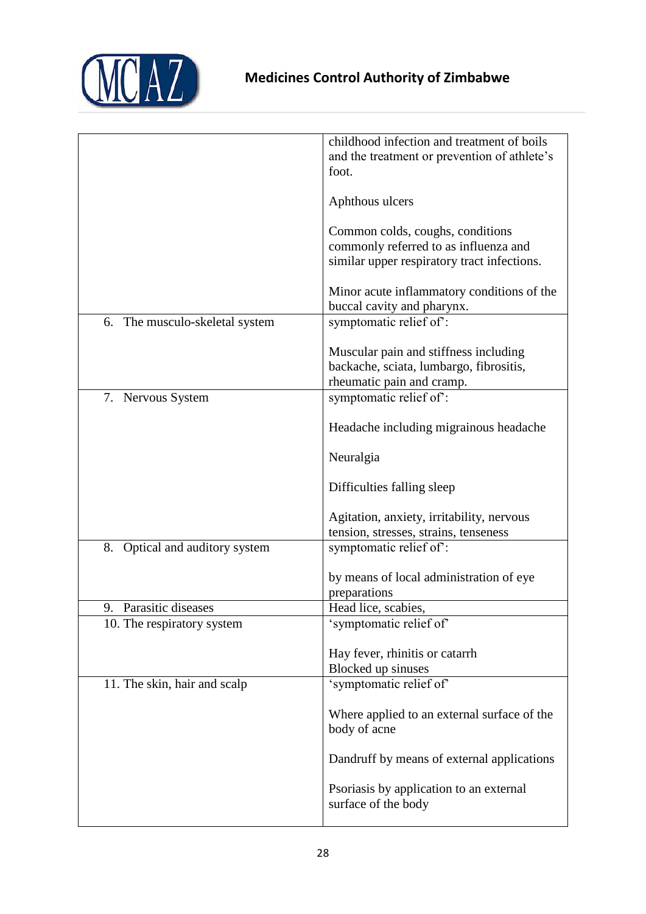

|                                   | childhood infection and treatment of boils<br>and the treatment or prevention of athlete's<br>foot.                      |
|-----------------------------------|--------------------------------------------------------------------------------------------------------------------------|
|                                   | Aphthous ulcers                                                                                                          |
|                                   | Common colds, coughs, conditions<br>commonly referred to as influenza and<br>similar upper respiratory tract infections. |
|                                   | Minor acute inflammatory conditions of the<br>buccal cavity and pharynx.                                                 |
| The musculo-skeletal system<br>6. | symptomatic relief of:                                                                                                   |
|                                   | Muscular pain and stiffness including<br>backache, sciata, lumbargo, fibrositis,<br>rheumatic pain and cramp.            |
| 7. Nervous System                 | symptomatic relief of:                                                                                                   |
|                                   | Headache including migrainous headache                                                                                   |
|                                   | Neuralgia                                                                                                                |
|                                   | Difficulties falling sleep                                                                                               |
|                                   | Agitation, anxiety, irritability, nervous                                                                                |
| Optical and auditory system<br>8. | tension, stresses, strains, tenseness<br>symptomatic relief of:                                                          |
|                                   |                                                                                                                          |
|                                   | by means of local administration of eye<br>preparations                                                                  |
| Parasitic diseases<br>9.          | Head lice, scabies,                                                                                                      |
| 10. The respiratory system        | 'symptomatic relief of'                                                                                                  |
|                                   | Hay fever, rhinitis or catarrh<br>Blocked up sinuses                                                                     |
| 11. The skin, hair and scalp      | 'symptomatic relief of'                                                                                                  |
|                                   | Where applied to an external surface of the<br>body of acne                                                              |
|                                   | Dandruff by means of external applications                                                                               |
|                                   | Psoriasis by application to an external<br>surface of the body                                                           |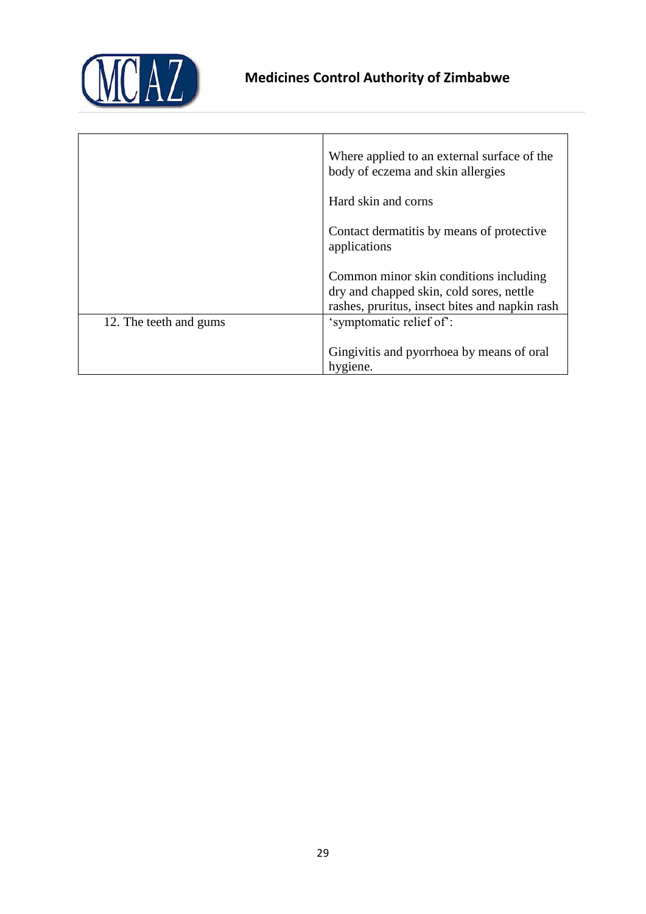

|                        | Where applied to an external surface of the<br>body of eczema and skin allergies                                                     |
|------------------------|--------------------------------------------------------------------------------------------------------------------------------------|
|                        | Hard skin and corns                                                                                                                  |
|                        | Contact dermatitis by means of protective<br>applications                                                                            |
|                        | Common minor skin conditions including<br>dry and chapped skin, cold sores, nettle<br>rashes, pruritus, insect bites and napkin rash |
| 12. The teeth and gums | 'symptomatic relief of':                                                                                                             |
|                        | Gingivitis and pyorrhoea by means of oral<br>hygiene.                                                                                |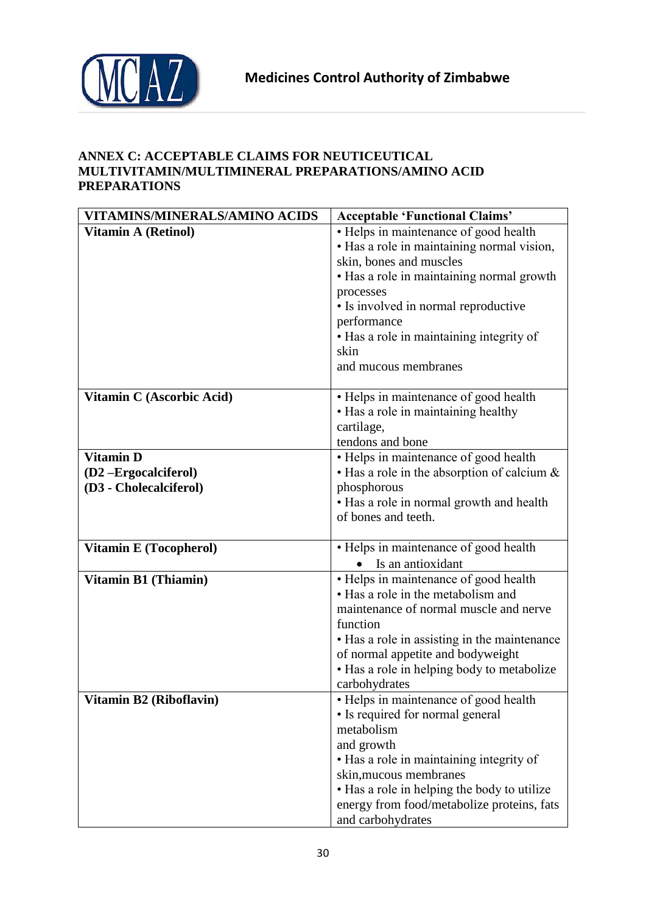



# <span id="page-29-0"></span>**ANNEX C: ACCEPTABLE CLAIMS FOR NEUTICEUTICAL MULTIVITAMIN/MULTIMINERAL PREPARATIONS/AMINO ACID PREPARATIONS**

| VITAMINS/MINERALS/AMINO ACIDS | <b>Acceptable 'Functional Claims'</b>                                                                                                                                                                                                                                                                       |
|-------------------------------|-------------------------------------------------------------------------------------------------------------------------------------------------------------------------------------------------------------------------------------------------------------------------------------------------------------|
| <b>Vitamin A (Retinol)</b>    | • Helps in maintenance of good health<br>• Has a role in maintaining normal vision,<br>skin, bones and muscles<br>• Has a role in maintaining normal growth<br>processes<br>• Is involved in normal reproductive<br>performance<br>• Has a role in maintaining integrity of<br>skin<br>and mucous membranes |
| Vitamin C (Ascorbic Acid)     | • Helps in maintenance of good health<br>• Has a role in maintaining healthy<br>cartilage,<br>tendons and bone                                                                                                                                                                                              |
| <b>Vitamin D</b>              | • Helps in maintenance of good health                                                                                                                                                                                                                                                                       |
| (D2-Ergocalciferol)           | $\cdot$ Has a role in the absorption of calcium $\&$                                                                                                                                                                                                                                                        |
| (D3 - Cholecalciferol)        | phosphorous                                                                                                                                                                                                                                                                                                 |
|                               | • Has a role in normal growth and health<br>of bones and teeth.                                                                                                                                                                                                                                             |
| <b>Vitamin E (Tocopherol)</b> | • Helps in maintenance of good health<br>Is an antioxidant                                                                                                                                                                                                                                                  |
| <b>Vitamin B1 (Thiamin)</b>   | • Helps in maintenance of good health<br>• Has a role in the metabolism and<br>maintenance of normal muscle and nerve<br>function<br>• Has a role in assisting in the maintenance<br>of normal appetite and bodyweight<br>• Has a role in helping body to metabolize<br>carbohydrates                       |
| Vitamin B2 (Riboflavin)       | • Helps in maintenance of good health<br>• Is required for normal general<br>metabolism<br>and growth<br>• Has a role in maintaining integrity of<br>skin, mucous membranes<br>• Has a role in helping the body to utilize<br>energy from food/metabolize proteins, fats<br>and carbohydrates               |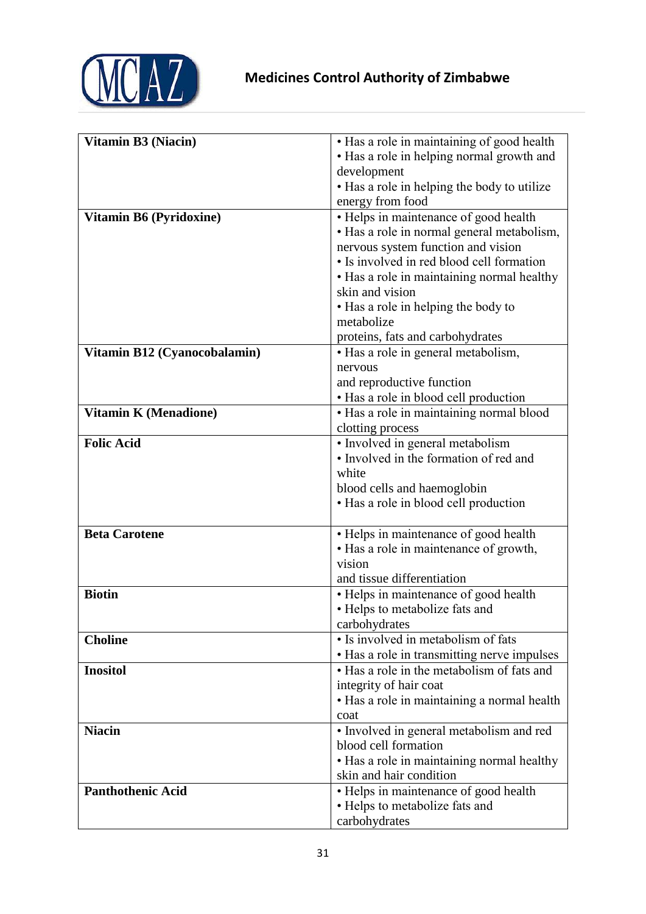

| <b>Vitamin B3 (Niacin)</b>   | · Has a role in maintaining of good health  |
|------------------------------|---------------------------------------------|
|                              | • Has a role in helping normal growth and   |
|                              | development                                 |
|                              | • Has a role in helping the body to utilize |
|                              | energy from food                            |
| Vitamin B6 (Pyridoxine)      | • Helps in maintenance of good health       |
|                              | • Has a role in normal general metabolism,  |
|                              | nervous system function and vision          |
|                              | • Is involved in red blood cell formation   |
|                              | • Has a role in maintaining normal healthy  |
|                              | skin and vision                             |
|                              | • Has a role in helping the body to         |
|                              | metabolize                                  |
|                              | proteins, fats and carbohydrates            |
| Vitamin B12 (Cyanocobalamin) | • Has a role in general metabolism,         |
|                              | nervous                                     |
|                              | and reproductive function                   |
|                              | • Has a role in blood cell production       |
| <b>Vitamin K (Menadione)</b> | • Has a role in maintaining normal blood    |
|                              | clotting process                            |
| <b>Folic Acid</b>            | · Involved in general metabolism            |
|                              | • Involved in the formation of red and      |
|                              | white                                       |
|                              | blood cells and haemoglobin                 |
|                              | • Has a role in blood cell production       |
|                              |                                             |
| <b>Beta Carotene</b>         | • Helps in maintenance of good health       |
|                              | • Has a role in maintenance of growth,      |
|                              | vision                                      |
|                              | and tissue differentiation                  |
| <b>Biotin</b>                | • Helps in maintenance of good health       |
|                              | • Helps to metabolize fats and              |
|                              | carbohydrates                               |
| <b>Choline</b>               | • Is involved in metabolism of fats         |
|                              | • Has a role in transmitting nerve impulses |
| <b>Inositol</b>              | • Has a role in the metabolism of fats and  |
|                              | integrity of hair coat                      |
|                              | • Has a role in maintaining a normal health |
|                              | coat                                        |
| <b>Niacin</b>                | • Involved in general metabolism and red    |
|                              | blood cell formation                        |
|                              | • Has a role in maintaining normal healthy  |
|                              | skin and hair condition                     |
| <b>Panthothenic Acid</b>     | • Helps in maintenance of good health       |
|                              | • Helps to metabolize fats and              |
|                              | carbohydrates                               |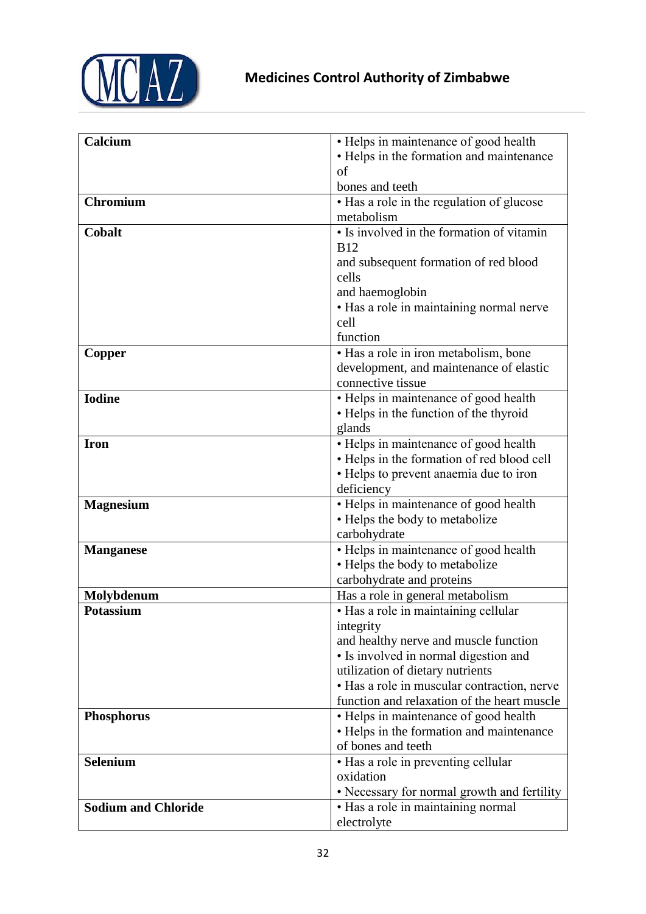

| · Helps in maintenance of good health<br>Calcium<br>• Helps in the formation and maintenance<br>of<br>bones and teeth<br><b>Chromium</b><br>• Has a role in the regulation of glucose<br>metabolism<br>• Is involved in the formation of vitamin<br>Cobalt<br><b>B12</b><br>and subsequent formation of red blood<br>cells<br>and haemoglobin<br>• Has a role in maintaining normal nerve<br>cell<br>function<br>· Has a role in iron metabolism, bone<br>Copper<br>development, and maintenance of elastic<br>connective tissue<br>• Helps in maintenance of good health<br><b>Iodine</b><br>• Helps in the function of the thyroid<br>glands<br>• Helps in maintenance of good health<br><b>Iron</b><br>• Helps in the formation of red blood cell<br>• Helps to prevent anaemia due to iron<br>deficiency<br>• Helps in maintenance of good health<br><b>Magnesium</b><br>• Helps the body to metabolize<br>carbohydrate<br>• Helps in maintenance of good health<br><b>Manganese</b><br>• Helps the body to metabolize<br>carbohydrate and proteins<br>Has a role in general metabolism<br>Molybdenum<br>• Has a role in maintaining cellular<br><b>Potassium</b><br>integrity<br>and healthy nerve and muscle function<br>• Is involved in normal digestion and<br>utilization of dietary nutrients<br>• Has a role in muscular contraction, nerve<br>function and relaxation of the heart muscle<br>• Helps in maintenance of good health<br><b>Phosphorus</b><br>• Helps in the formation and maintenance<br>of bones and teeth<br>• Has a role in preventing cellular<br><b>Selenium</b><br>oxidation<br>• Necessary for normal growth and fertility<br>• Has a role in maintaining normal<br><b>Sodium and Chloride</b> |             |  |
|----------------------------------------------------------------------------------------------------------------------------------------------------------------------------------------------------------------------------------------------------------------------------------------------------------------------------------------------------------------------------------------------------------------------------------------------------------------------------------------------------------------------------------------------------------------------------------------------------------------------------------------------------------------------------------------------------------------------------------------------------------------------------------------------------------------------------------------------------------------------------------------------------------------------------------------------------------------------------------------------------------------------------------------------------------------------------------------------------------------------------------------------------------------------------------------------------------------------------------------------------------------------------------------------------------------------------------------------------------------------------------------------------------------------------------------------------------------------------------------------------------------------------------------------------------------------------------------------------------------------------------------------------------------------------------------------------------------------------------|-------------|--|
|                                                                                                                                                                                                                                                                                                                                                                                                                                                                                                                                                                                                                                                                                                                                                                                                                                                                                                                                                                                                                                                                                                                                                                                                                                                                                                                                                                                                                                                                                                                                                                                                                                                                                                                                  |             |  |
|                                                                                                                                                                                                                                                                                                                                                                                                                                                                                                                                                                                                                                                                                                                                                                                                                                                                                                                                                                                                                                                                                                                                                                                                                                                                                                                                                                                                                                                                                                                                                                                                                                                                                                                                  |             |  |
|                                                                                                                                                                                                                                                                                                                                                                                                                                                                                                                                                                                                                                                                                                                                                                                                                                                                                                                                                                                                                                                                                                                                                                                                                                                                                                                                                                                                                                                                                                                                                                                                                                                                                                                                  |             |  |
|                                                                                                                                                                                                                                                                                                                                                                                                                                                                                                                                                                                                                                                                                                                                                                                                                                                                                                                                                                                                                                                                                                                                                                                                                                                                                                                                                                                                                                                                                                                                                                                                                                                                                                                                  |             |  |
|                                                                                                                                                                                                                                                                                                                                                                                                                                                                                                                                                                                                                                                                                                                                                                                                                                                                                                                                                                                                                                                                                                                                                                                                                                                                                                                                                                                                                                                                                                                                                                                                                                                                                                                                  |             |  |
|                                                                                                                                                                                                                                                                                                                                                                                                                                                                                                                                                                                                                                                                                                                                                                                                                                                                                                                                                                                                                                                                                                                                                                                                                                                                                                                                                                                                                                                                                                                                                                                                                                                                                                                                  |             |  |
|                                                                                                                                                                                                                                                                                                                                                                                                                                                                                                                                                                                                                                                                                                                                                                                                                                                                                                                                                                                                                                                                                                                                                                                                                                                                                                                                                                                                                                                                                                                                                                                                                                                                                                                                  |             |  |
|                                                                                                                                                                                                                                                                                                                                                                                                                                                                                                                                                                                                                                                                                                                                                                                                                                                                                                                                                                                                                                                                                                                                                                                                                                                                                                                                                                                                                                                                                                                                                                                                                                                                                                                                  |             |  |
|                                                                                                                                                                                                                                                                                                                                                                                                                                                                                                                                                                                                                                                                                                                                                                                                                                                                                                                                                                                                                                                                                                                                                                                                                                                                                                                                                                                                                                                                                                                                                                                                                                                                                                                                  |             |  |
|                                                                                                                                                                                                                                                                                                                                                                                                                                                                                                                                                                                                                                                                                                                                                                                                                                                                                                                                                                                                                                                                                                                                                                                                                                                                                                                                                                                                                                                                                                                                                                                                                                                                                                                                  |             |  |
|                                                                                                                                                                                                                                                                                                                                                                                                                                                                                                                                                                                                                                                                                                                                                                                                                                                                                                                                                                                                                                                                                                                                                                                                                                                                                                                                                                                                                                                                                                                                                                                                                                                                                                                                  |             |  |
|                                                                                                                                                                                                                                                                                                                                                                                                                                                                                                                                                                                                                                                                                                                                                                                                                                                                                                                                                                                                                                                                                                                                                                                                                                                                                                                                                                                                                                                                                                                                                                                                                                                                                                                                  |             |  |
|                                                                                                                                                                                                                                                                                                                                                                                                                                                                                                                                                                                                                                                                                                                                                                                                                                                                                                                                                                                                                                                                                                                                                                                                                                                                                                                                                                                                                                                                                                                                                                                                                                                                                                                                  |             |  |
|                                                                                                                                                                                                                                                                                                                                                                                                                                                                                                                                                                                                                                                                                                                                                                                                                                                                                                                                                                                                                                                                                                                                                                                                                                                                                                                                                                                                                                                                                                                                                                                                                                                                                                                                  |             |  |
|                                                                                                                                                                                                                                                                                                                                                                                                                                                                                                                                                                                                                                                                                                                                                                                                                                                                                                                                                                                                                                                                                                                                                                                                                                                                                                                                                                                                                                                                                                                                                                                                                                                                                                                                  |             |  |
|                                                                                                                                                                                                                                                                                                                                                                                                                                                                                                                                                                                                                                                                                                                                                                                                                                                                                                                                                                                                                                                                                                                                                                                                                                                                                                                                                                                                                                                                                                                                                                                                                                                                                                                                  |             |  |
|                                                                                                                                                                                                                                                                                                                                                                                                                                                                                                                                                                                                                                                                                                                                                                                                                                                                                                                                                                                                                                                                                                                                                                                                                                                                                                                                                                                                                                                                                                                                                                                                                                                                                                                                  |             |  |
|                                                                                                                                                                                                                                                                                                                                                                                                                                                                                                                                                                                                                                                                                                                                                                                                                                                                                                                                                                                                                                                                                                                                                                                                                                                                                                                                                                                                                                                                                                                                                                                                                                                                                                                                  |             |  |
|                                                                                                                                                                                                                                                                                                                                                                                                                                                                                                                                                                                                                                                                                                                                                                                                                                                                                                                                                                                                                                                                                                                                                                                                                                                                                                                                                                                                                                                                                                                                                                                                                                                                                                                                  |             |  |
|                                                                                                                                                                                                                                                                                                                                                                                                                                                                                                                                                                                                                                                                                                                                                                                                                                                                                                                                                                                                                                                                                                                                                                                                                                                                                                                                                                                                                                                                                                                                                                                                                                                                                                                                  |             |  |
|                                                                                                                                                                                                                                                                                                                                                                                                                                                                                                                                                                                                                                                                                                                                                                                                                                                                                                                                                                                                                                                                                                                                                                                                                                                                                                                                                                                                                                                                                                                                                                                                                                                                                                                                  |             |  |
|                                                                                                                                                                                                                                                                                                                                                                                                                                                                                                                                                                                                                                                                                                                                                                                                                                                                                                                                                                                                                                                                                                                                                                                                                                                                                                                                                                                                                                                                                                                                                                                                                                                                                                                                  |             |  |
|                                                                                                                                                                                                                                                                                                                                                                                                                                                                                                                                                                                                                                                                                                                                                                                                                                                                                                                                                                                                                                                                                                                                                                                                                                                                                                                                                                                                                                                                                                                                                                                                                                                                                                                                  |             |  |
|                                                                                                                                                                                                                                                                                                                                                                                                                                                                                                                                                                                                                                                                                                                                                                                                                                                                                                                                                                                                                                                                                                                                                                                                                                                                                                                                                                                                                                                                                                                                                                                                                                                                                                                                  |             |  |
|                                                                                                                                                                                                                                                                                                                                                                                                                                                                                                                                                                                                                                                                                                                                                                                                                                                                                                                                                                                                                                                                                                                                                                                                                                                                                                                                                                                                                                                                                                                                                                                                                                                                                                                                  |             |  |
|                                                                                                                                                                                                                                                                                                                                                                                                                                                                                                                                                                                                                                                                                                                                                                                                                                                                                                                                                                                                                                                                                                                                                                                                                                                                                                                                                                                                                                                                                                                                                                                                                                                                                                                                  |             |  |
|                                                                                                                                                                                                                                                                                                                                                                                                                                                                                                                                                                                                                                                                                                                                                                                                                                                                                                                                                                                                                                                                                                                                                                                                                                                                                                                                                                                                                                                                                                                                                                                                                                                                                                                                  |             |  |
|                                                                                                                                                                                                                                                                                                                                                                                                                                                                                                                                                                                                                                                                                                                                                                                                                                                                                                                                                                                                                                                                                                                                                                                                                                                                                                                                                                                                                                                                                                                                                                                                                                                                                                                                  |             |  |
|                                                                                                                                                                                                                                                                                                                                                                                                                                                                                                                                                                                                                                                                                                                                                                                                                                                                                                                                                                                                                                                                                                                                                                                                                                                                                                                                                                                                                                                                                                                                                                                                                                                                                                                                  |             |  |
|                                                                                                                                                                                                                                                                                                                                                                                                                                                                                                                                                                                                                                                                                                                                                                                                                                                                                                                                                                                                                                                                                                                                                                                                                                                                                                                                                                                                                                                                                                                                                                                                                                                                                                                                  |             |  |
|                                                                                                                                                                                                                                                                                                                                                                                                                                                                                                                                                                                                                                                                                                                                                                                                                                                                                                                                                                                                                                                                                                                                                                                                                                                                                                                                                                                                                                                                                                                                                                                                                                                                                                                                  |             |  |
|                                                                                                                                                                                                                                                                                                                                                                                                                                                                                                                                                                                                                                                                                                                                                                                                                                                                                                                                                                                                                                                                                                                                                                                                                                                                                                                                                                                                                                                                                                                                                                                                                                                                                                                                  |             |  |
|                                                                                                                                                                                                                                                                                                                                                                                                                                                                                                                                                                                                                                                                                                                                                                                                                                                                                                                                                                                                                                                                                                                                                                                                                                                                                                                                                                                                                                                                                                                                                                                                                                                                                                                                  |             |  |
|                                                                                                                                                                                                                                                                                                                                                                                                                                                                                                                                                                                                                                                                                                                                                                                                                                                                                                                                                                                                                                                                                                                                                                                                                                                                                                                                                                                                                                                                                                                                                                                                                                                                                                                                  |             |  |
|                                                                                                                                                                                                                                                                                                                                                                                                                                                                                                                                                                                                                                                                                                                                                                                                                                                                                                                                                                                                                                                                                                                                                                                                                                                                                                                                                                                                                                                                                                                                                                                                                                                                                                                                  |             |  |
|                                                                                                                                                                                                                                                                                                                                                                                                                                                                                                                                                                                                                                                                                                                                                                                                                                                                                                                                                                                                                                                                                                                                                                                                                                                                                                                                                                                                                                                                                                                                                                                                                                                                                                                                  |             |  |
|                                                                                                                                                                                                                                                                                                                                                                                                                                                                                                                                                                                                                                                                                                                                                                                                                                                                                                                                                                                                                                                                                                                                                                                                                                                                                                                                                                                                                                                                                                                                                                                                                                                                                                                                  |             |  |
|                                                                                                                                                                                                                                                                                                                                                                                                                                                                                                                                                                                                                                                                                                                                                                                                                                                                                                                                                                                                                                                                                                                                                                                                                                                                                                                                                                                                                                                                                                                                                                                                                                                                                                                                  |             |  |
|                                                                                                                                                                                                                                                                                                                                                                                                                                                                                                                                                                                                                                                                                                                                                                                                                                                                                                                                                                                                                                                                                                                                                                                                                                                                                                                                                                                                                                                                                                                                                                                                                                                                                                                                  |             |  |
|                                                                                                                                                                                                                                                                                                                                                                                                                                                                                                                                                                                                                                                                                                                                                                                                                                                                                                                                                                                                                                                                                                                                                                                                                                                                                                                                                                                                                                                                                                                                                                                                                                                                                                                                  |             |  |
|                                                                                                                                                                                                                                                                                                                                                                                                                                                                                                                                                                                                                                                                                                                                                                                                                                                                                                                                                                                                                                                                                                                                                                                                                                                                                                                                                                                                                                                                                                                                                                                                                                                                                                                                  |             |  |
|                                                                                                                                                                                                                                                                                                                                                                                                                                                                                                                                                                                                                                                                                                                                                                                                                                                                                                                                                                                                                                                                                                                                                                                                                                                                                                                                                                                                                                                                                                                                                                                                                                                                                                                                  |             |  |
|                                                                                                                                                                                                                                                                                                                                                                                                                                                                                                                                                                                                                                                                                                                                                                                                                                                                                                                                                                                                                                                                                                                                                                                                                                                                                                                                                                                                                                                                                                                                                                                                                                                                                                                                  |             |  |
|                                                                                                                                                                                                                                                                                                                                                                                                                                                                                                                                                                                                                                                                                                                                                                                                                                                                                                                                                                                                                                                                                                                                                                                                                                                                                                                                                                                                                                                                                                                                                                                                                                                                                                                                  |             |  |
|                                                                                                                                                                                                                                                                                                                                                                                                                                                                                                                                                                                                                                                                                                                                                                                                                                                                                                                                                                                                                                                                                                                                                                                                                                                                                                                                                                                                                                                                                                                                                                                                                                                                                                                                  |             |  |
|                                                                                                                                                                                                                                                                                                                                                                                                                                                                                                                                                                                                                                                                                                                                                                                                                                                                                                                                                                                                                                                                                                                                                                                                                                                                                                                                                                                                                                                                                                                                                                                                                                                                                                                                  |             |  |
|                                                                                                                                                                                                                                                                                                                                                                                                                                                                                                                                                                                                                                                                                                                                                                                                                                                                                                                                                                                                                                                                                                                                                                                                                                                                                                                                                                                                                                                                                                                                                                                                                                                                                                                                  |             |  |
|                                                                                                                                                                                                                                                                                                                                                                                                                                                                                                                                                                                                                                                                                                                                                                                                                                                                                                                                                                                                                                                                                                                                                                                                                                                                                                                                                                                                                                                                                                                                                                                                                                                                                                                                  |             |  |
|                                                                                                                                                                                                                                                                                                                                                                                                                                                                                                                                                                                                                                                                                                                                                                                                                                                                                                                                                                                                                                                                                                                                                                                                                                                                                                                                                                                                                                                                                                                                                                                                                                                                                                                                  | electrolyte |  |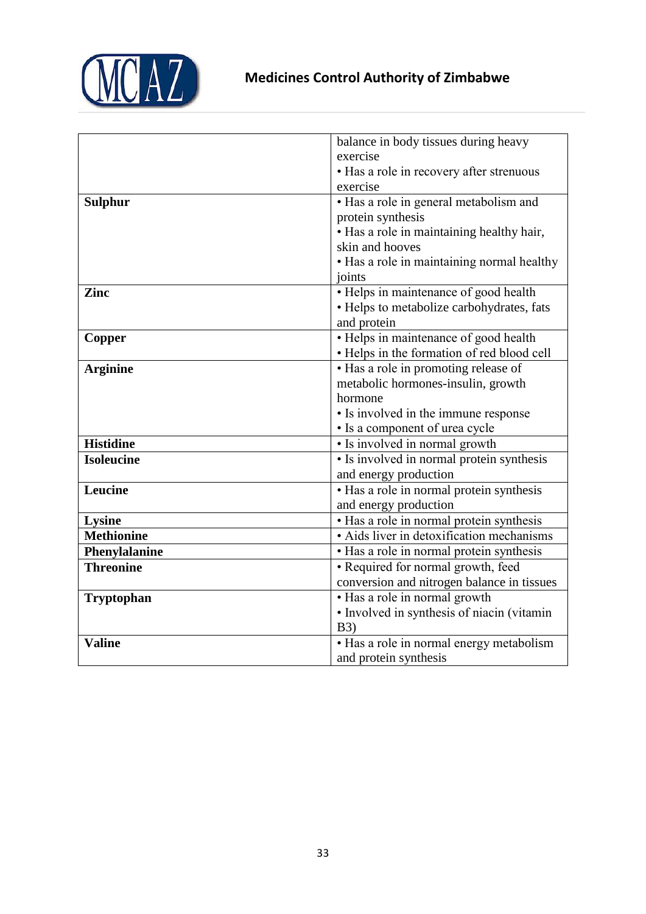

|                   | balance in body tissues during heavy       |  |
|-------------------|--------------------------------------------|--|
|                   | exercise                                   |  |
|                   | • Has a role in recovery after strenuous   |  |
|                   | exercise                                   |  |
| <b>Sulphur</b>    | • Has a role in general metabolism and     |  |
|                   | protein synthesis                          |  |
|                   | • Has a role in maintaining healthy hair,  |  |
|                   | skin and hooves                            |  |
|                   | • Has a role in maintaining normal healthy |  |
|                   | joints                                     |  |
| Zinc              | • Helps in maintenance of good health      |  |
|                   | • Helps to metabolize carbohydrates, fats  |  |
|                   | and protein                                |  |
| Copper            | • Helps in maintenance of good health      |  |
|                   | • Helps in the formation of red blood cell |  |
| <b>Arginine</b>   | • Has a role in promoting release of       |  |
|                   | metabolic hormones-insulin, growth         |  |
|                   | hormone                                    |  |
|                   | • Is involved in the immune response       |  |
|                   | • Is a component of urea cycle             |  |
| <b>Histidine</b>  | • Is involved in normal growth             |  |
| <b>Isoleucine</b> | • Is involved in normal protein synthesis  |  |
|                   | and energy production                      |  |
| Leucine           | • Has a role in normal protein synthesis   |  |
|                   | and energy production                      |  |
| <b>Lysine</b>     | • Has a role in normal protein synthesis   |  |
| <b>Methionine</b> | · Aids liver in detoxification mechanisms  |  |
| Phenylalanine     | · Has a role in normal protein synthesis   |  |
| <b>Threonine</b>  | • Required for normal growth, feed         |  |
|                   | conversion and nitrogen balance in tissues |  |
| <b>Tryptophan</b> | • Has a role in normal growth              |  |
|                   | · Involved in synthesis of niacin (vitamin |  |
|                   | <b>B3</b> )                                |  |
| <b>Valine</b>     | • Has a role in normal energy metabolism   |  |
|                   | and protein synthesis                      |  |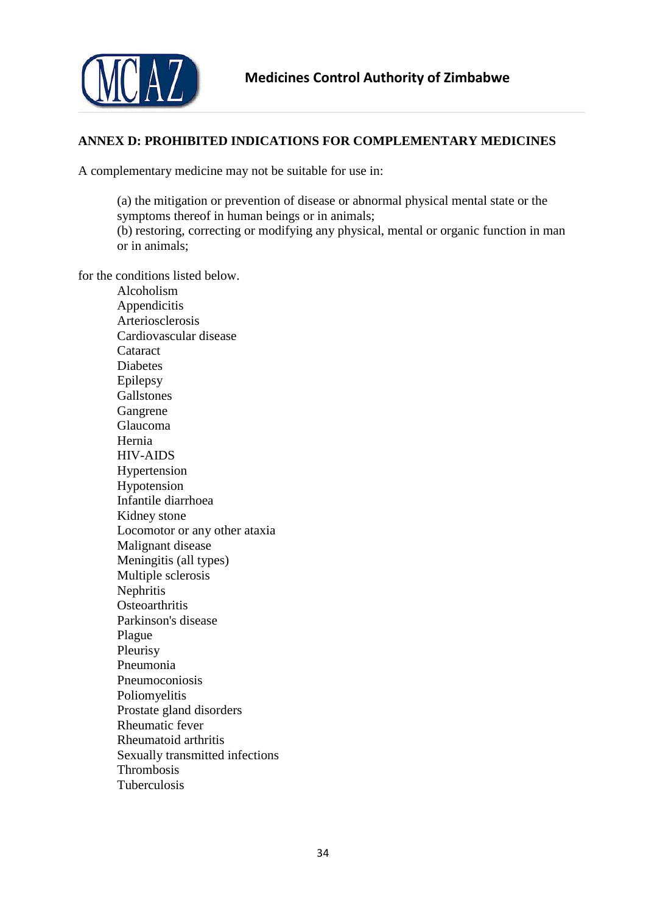

### <span id="page-33-0"></span>**ANNEX D: PROHIBITED INDICATIONS FOR COMPLEMENTARY MEDICINES**

A complementary medicine may not be suitable for use in:

(a) the mitigation or prevention of disease or abnormal physical mental state or the symptoms thereof in human beings or in animals;

(b) restoring, correcting or modifying any physical, mental or organic function in man or in animals;

for the conditions listed below.

Alcoholism Appendicitis Arteriosclerosis Cardiovascular disease Cataract **Diabetes** Epilepsy Gallstones Gangrene Glaucoma Hernia HIV-AIDS Hypertension Hypotension Infantile diarrhoea Kidney stone Locomotor or any other ataxia Malignant disease Meningitis (all types) Multiple sclerosis **Nephritis Osteoarthritis** Parkinson's disease Plague Pleurisy Pneumonia Pneumoconiosis Poliomyelitis Prostate gland disorders Rheumatic fever Rheumatoid arthritis Sexually transmitted infections Thrombosis Tuberculosis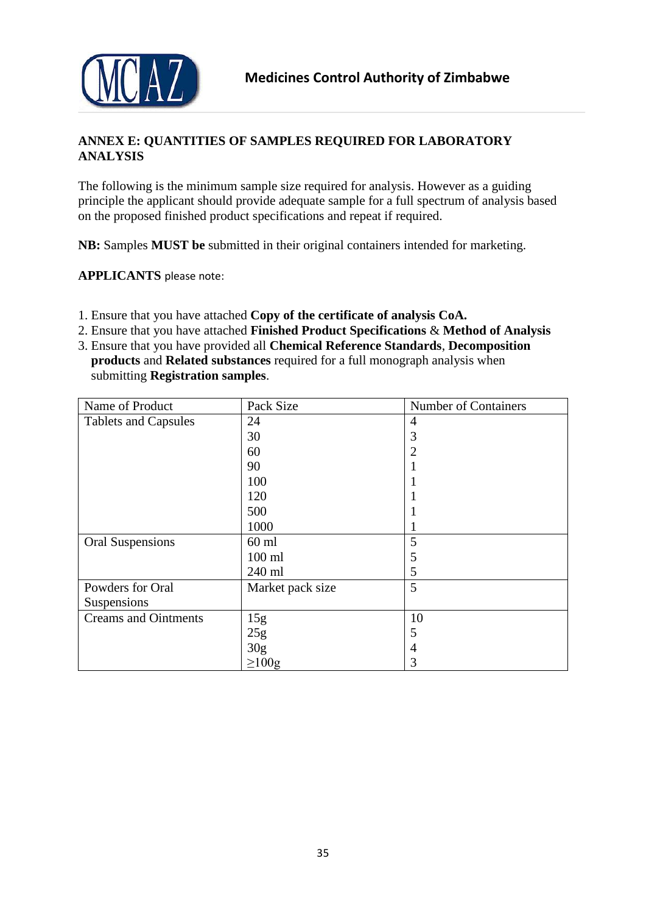



# <span id="page-34-0"></span>**ANNEX E: QUANTITIES OF SAMPLES REQUIRED FOR LABORATORY ANALYSIS**

The following is the minimum sample size required for analysis. However as a guiding principle the applicant should provide adequate sample for a full spectrum of analysis based on the proposed finished product specifications and repeat if required.

**NB:** Samples **MUST be** submitted in their original containers intended for marketing.

**APPLICANTS** please note:

- 1. Ensure that you have attached **Copy of the certificate of analysis CoA.**
- 2. Ensure that you have attached **Finished Product Specifications** & **Method of Analysis**
- 3. Ensure that you have provided all **Chemical Reference Standards**, **Decomposition products** and **Related substances** required for a full monograph analysis when submitting **Registration samples**.

| Name of Product             | Pack Size        | Number of Containers |
|-----------------------------|------------------|----------------------|
| <b>Tablets and Capsules</b> | 24               | 4                    |
|                             | 30               | 3                    |
|                             | 60               | 2                    |
|                             | 90               |                      |
|                             | 100              |                      |
|                             | 120              |                      |
|                             | 500              |                      |
|                             | 1000             |                      |
| <b>Oral Suspensions</b>     | $60$ ml          | 5                    |
|                             | $100$ ml         | 5                    |
|                             | 240 ml           | 5                    |
| Powders for Oral            | Market pack size | 5                    |
| Suspensions                 |                  |                      |
| <b>Creams and Ointments</b> | 15g              | 10                   |
|                             | 25g              | 5                    |
|                             | 30 <sub>g</sub>  | 4                    |
|                             | $\geq 100$ g     | 3                    |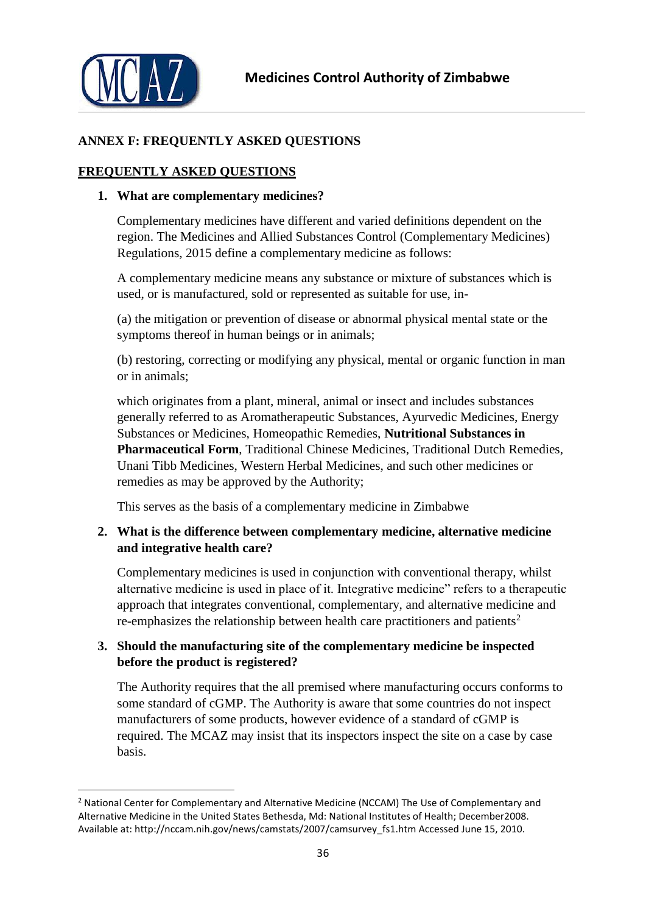

**.** 

# **ANNEX F: FREQUENTLY ASKED QUESTIONS**

# **FREQUENTLY ASKED QUESTIONS**

### **1. What are complementary medicines?**

Complementary medicines have different and varied definitions dependent on the region. The Medicines and Allied Substances Control (Complementary Medicines) Regulations, 2015 define a complementary medicine as follows:

A complementary medicine means any substance or mixture of substances which is used, or is manufactured, sold or represented as suitable for use, in-

(a) the mitigation or prevention of disease or abnormal physical mental state or the symptoms thereof in human beings or in animals;

(b) restoring, correcting or modifying any physical, mental or organic function in man or in animals;

which originates from a plant, mineral, animal or insect and includes substances generally referred to as Aromatherapeutic Substances, Ayurvedic Medicines, Energy Substances or Medicines, Homeopathic Remedies, **Nutritional Substances in Pharmaceutical Form**, Traditional Chinese Medicines, Traditional Dutch Remedies, Unani Tibb Medicines, Western Herbal Medicines, and such other medicines or remedies as may be approved by the Authority;

This serves as the basis of a complementary medicine in Zimbabwe

# **2. What is the difference between complementary medicine, alternative medicine and integrative health care?**

Complementary medicines is used in conjunction with conventional therapy, whilst alternative medicine is used in place of it. Integrative medicine" refers to a therapeutic approach that integrates conventional, complementary, and alternative medicine and re-emphasizes the relationship between health care practitioners and patients<sup>2</sup>

# **3. Should the manufacturing site of the complementary medicine be inspected before the product is registered?**

The Authority requires that the all premised where manufacturing occurs conforms to some standard of cGMP. The Authority is aware that some countries do not inspect manufacturers of some products, however evidence of a standard of cGMP is required. The MCAZ may insist that its inspectors inspect the site on a case by case basis.

<sup>&</sup>lt;sup>2</sup> National Center for Complementary and Alternative Medicine (NCCAM) The Use of Complementary and Alternative Medicine in the United States Bethesda, Md: National Institutes of Health; December2008. Available at: http://nccam.nih.gov/news/camstats/2007/camsurvey\_fs1.htm Accessed June 15, 2010.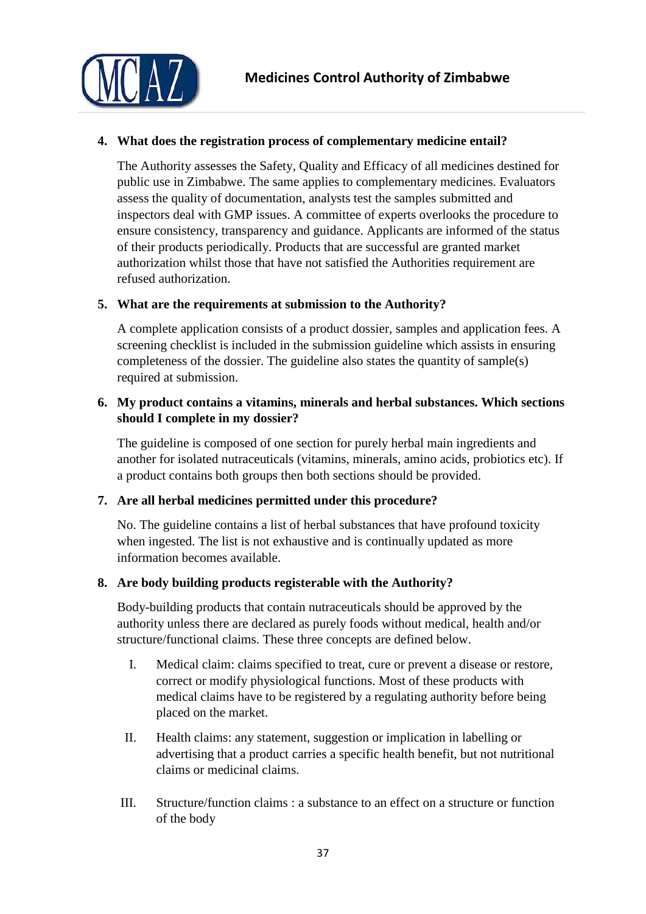

# **4. What does the registration process of complementary medicine entail?**

The Authority assesses the Safety, Quality and Efficacy of all medicines destined for public use in Zimbabwe. The same applies to complementary medicines. Evaluators assess the quality of documentation, analysts test the samples submitted and inspectors deal with GMP issues. A committee of experts overlooks the procedure to ensure consistency, transparency and guidance. Applicants are informed of the status of their products periodically. Products that are successful are granted market authorization whilst those that have not satisfied the Authorities requirement are refused authorization.

# **5. What are the requirements at submission to the Authority?**

A complete application consists of a product dossier, samples and application fees. A screening checklist is included in the submission guideline which assists in ensuring completeness of the dossier. The guideline also states the quantity of sample(s) required at submission.

# **6. My product contains a vitamins, minerals and herbal substances. Which sections should I complete in my dossier?**

The guideline is composed of one section for purely herbal main ingredients and another for isolated nutraceuticals (vitamins, minerals, amino acids, probiotics etc). If a product contains both groups then both sections should be provided.

# **7. Are all herbal medicines permitted under this procedure?**

No. The guideline contains a list of herbal substances that have profound toxicity when ingested. The list is not exhaustive and is continually updated as more information becomes available.

# **8. Are body building products registerable with the Authority?**

Body-building products that contain nutraceuticals should be approved by the authority unless there are declared as purely foods without medical, health and/or structure/functional claims. These three concepts are defined below.

- I. Medical claim: claims specified to treat, cure or prevent a disease or restore, correct or modify physiological functions. Most of these products with medical claims have to be registered by a regulating authority before being placed on the market.
- II. Health claims: any statement, suggestion or implication in labelling or advertising that a product carries a specific health benefit, but not nutritional claims or medicinal claims.
- III. Structure/function claims : a substance to an effect on a structure or function of the body